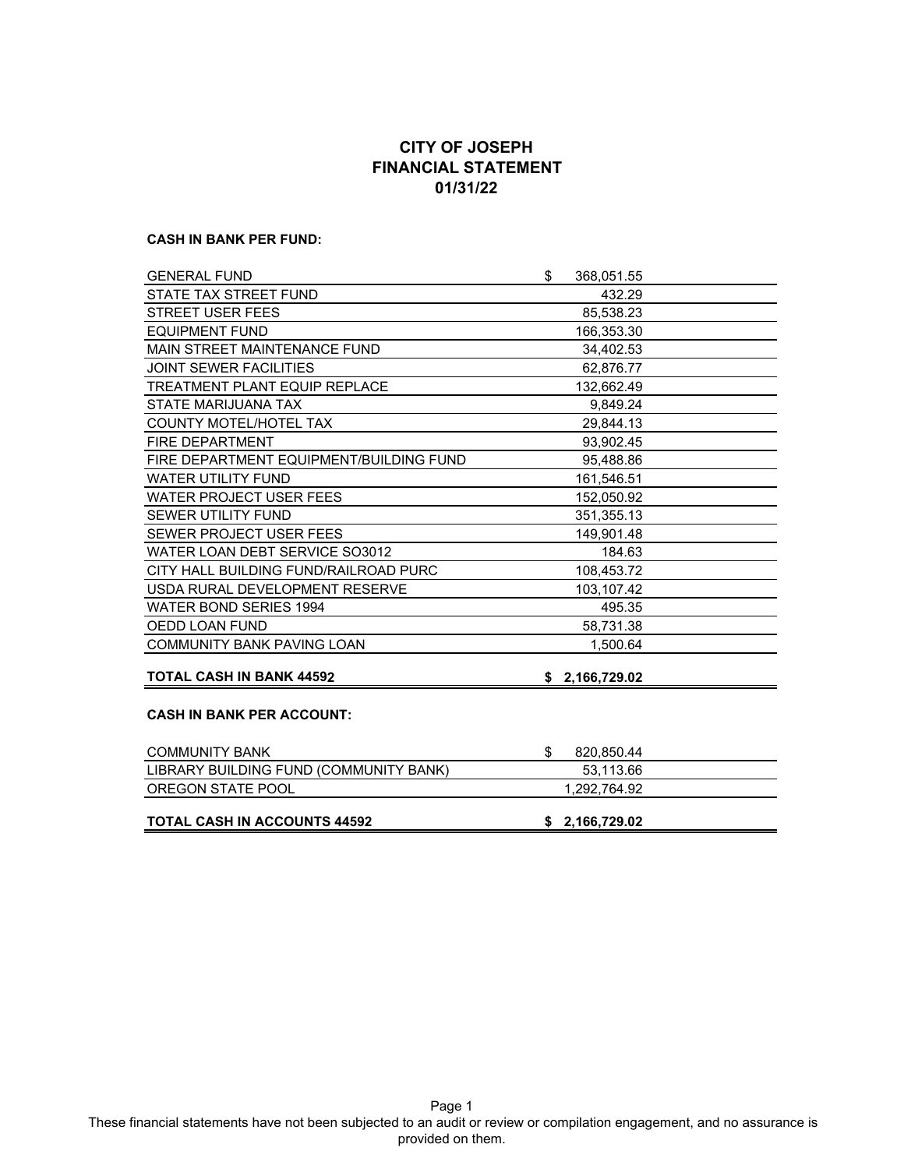# **CITY OF JOSEPH FINANCIAL STATEMENT 01/31/22**

#### **CASH IN BANK PER FUND:**

| <b>GENERAL FUND</b>                     | \$<br>368,051.55  |  |
|-----------------------------------------|-------------------|--|
| STATE TAX STREET FUND                   | 432.29            |  |
| <b>STREET USER FEES</b>                 | 85,538.23         |  |
| <b>EQUIPMENT FUND</b>                   | 166,353.30        |  |
| MAIN STREET MAINTENANCE FUND            | 34,402.53         |  |
| JOINT SEWER FACILITIES                  | 62,876.77         |  |
| <b>TREATMENT PLANT EQUIP REPLACE</b>    | 132,662.49        |  |
| STATE MARIJUANA TAX                     | 9,849.24          |  |
| <b>COUNTY MOTEL/HOTEL TAX</b>           | 29,844.13         |  |
| <b>FIRE DEPARTMENT</b>                  | 93,902.45         |  |
| FIRE DEPARTMENT EQUIPMENT/BUILDING FUND | 95,488.86         |  |
| <b>WATER UTILITY FUND</b>               | 161.546.51        |  |
| <b>WATER PROJECT USER FEES</b>          | 152,050.92        |  |
| <b>SEWER UTILITY FUND</b>               | 351,355.13        |  |
| SEWER PROJECT USER FEES                 | 149,901.48        |  |
| WATER LOAN DEBT SERVICE SO3012          | 184.63            |  |
| CITY HALL BUILDING FUND/RAILROAD PURC   | 108,453.72        |  |
| USDA RURAL DEVELOPMENT RESERVE          | 103.107.42        |  |
| <b>WATER BOND SERIES 1994</b>           | 495.35            |  |
| OEDD LOAN FUND                          | 58,731.38         |  |
| <b>COMMUNITY BANK PAVING LOAN</b>       | 1,500.64          |  |
| <b>TOTAL CASH IN BANK 44592</b>         | \$2,166,729.02    |  |
|                                         |                   |  |
| <b>CASH IN BANK PER ACCOUNT:</b>        |                   |  |
| <b>COMMUNITY BANK</b>                   | \$.<br>820,850.44 |  |
| LIBRARY BUILDING FUND (COMMUNITY BANK)  | 53,113.66         |  |
| OREGON STATE POOL                       | 1,292,764.92      |  |
| <b>TOTAL CASH IN ACCOUNTS 44592</b>     | \$2,166,729.02    |  |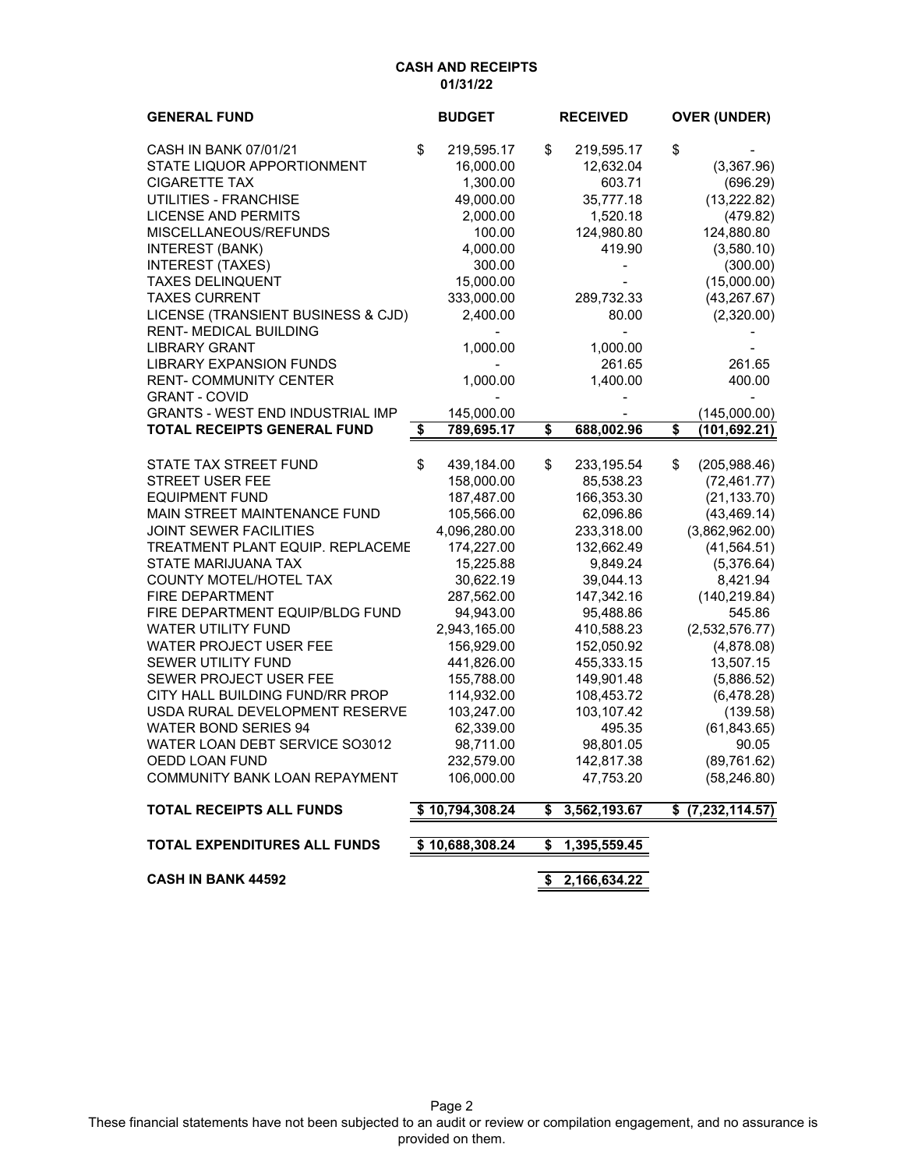### **CASH AND RECEIPTS 01/31/22**

| <b>GENERAL FUND</b>                     | <b>BUDGET</b>    | <b>RECEIVED</b>    | <b>OVER (UNDER)</b>    |
|-----------------------------------------|------------------|--------------------|------------------------|
| CASH IN BANK 07/01/21                   | \$<br>219,595.17 | \$<br>219,595.17   | \$                     |
| STATE LIQUOR APPORTIONMENT              | 16,000.00        | 12,632.04          | (3,367.96)             |
| <b>CIGARETTE TAX</b>                    | 1,300.00         | 603.71             | (696.29)               |
| UTILITIES - FRANCHISE                   | 49,000.00        | 35,777.18          | (13, 222.82)           |
| <b>LICENSE AND PERMITS</b>              | 2,000.00         | 1,520.18           | (479.82)               |
| MISCELLANEOUS/REFUNDS                   | 100.00           | 124,980.80         | 124,880.80             |
| <b>INTEREST (BANK)</b>                  | 4,000.00         | 419.90             | (3,580.10)             |
| <b>INTEREST (TAXES)</b>                 | 300.00           |                    | (300.00)               |
| <b>TAXES DELINQUENT</b>                 | 15,000.00        |                    | (15,000.00)            |
| <b>TAXES CURRENT</b>                    | 333,000.00       | 289,732.33         | (43, 267.67)           |
| LICENSE (TRANSIENT BUSINESS & CJD)      | 2,400.00         | 80.00              | (2,320.00)             |
| <b>RENT-MEDICAL BUILDING</b>            |                  |                    |                        |
| <b>LIBRARY GRANT</b>                    | 1,000.00         | 1,000.00           |                        |
| <b>LIBRARY EXPANSION FUNDS</b>          |                  | 261.65             | 261.65                 |
| <b>RENT-COMMUNITY CENTER</b>            | 1,000.00         | 1,400.00           | 400.00                 |
| <b>GRANT - COVID</b>                    |                  |                    |                        |
| <b>GRANTS - WEST END INDUSTRIAL IMP</b> | 145,000.00       |                    | (145,000.00)           |
| <b>TOTAL RECEIPTS GENERAL FUND</b>      | \$<br>789,695.17 | \$<br>688,002.96   | \$<br>(101,692.21)     |
| STATE TAX STREET FUND                   | \$<br>439,184.00 | \$<br>233,195.54   | \$<br>(205, 988.46)    |
| <b>STREET USER FEE</b>                  | 158,000.00       | 85,538.23          | (72, 461.77)           |
| <b>EQUIPMENT FUND</b>                   | 187,487.00       | 166,353.30         | (21, 133.70)           |
| MAIN STREET MAINTENANCE FUND            | 105,566.00       | 62,096.86          | (43, 469.14)           |
| <b>JOINT SEWER FACILITIES</b>           | 4,096,280.00     | 233,318.00         | (3,862,962.00)         |
| TREATMENT PLANT EQUIP. REPLACEME        | 174,227.00       | 132,662.49         | (41, 564.51)           |
| STATE MARIJUANA TAX                     | 15,225.88        | 9,849.24           | (5,376.64)             |
| COUNTY MOTEL/HOTEL TAX                  | 30,622.19        | 39,044.13          | 8,421.94               |
| FIRE DEPARTMENT                         | 287,562.00       | 147,342.16         | (140, 219.84)          |
| FIRE DEPARTMENT EQUIP/BLDG FUND         | 94,943.00        | 95,488.86          | 545.86                 |
| <b>WATER UTILITY FUND</b>               | 2,943,165.00     | 410,588.23         | (2,532,576.77)         |
| WATER PROJECT USER FEE                  | 156,929.00       | 152,050.92         | (4,878.08)             |
| SEWER UTILITY FUND                      | 441,826.00       | 455,333.15         | 13,507.15              |
| SEWER PROJECT USER FEE                  | 155,788.00       | 149,901.48         | (5,886.52)             |
| CITY HALL BUILDING FUND/RR PROP         | 114,932.00       | 108,453.72         | (6,478.28)             |
| USDA RURAL DEVELOPMENT RESERVE          | 103,247.00       | 103,107.42         | (139.58)               |
| <b>WATER BOND SERIES 94</b>             | 62,339.00        | 495.35             | (61, 843.65)           |
| WATER LOAN DEBT SERVICE SO3012          | 98,711.00        | 98,801.05          | 90.05                  |
| OEDD LOAN FUND                          | 232,579.00       | 142,817.38         | (89, 761.62)           |
| COMMUNITY BANK LOAN REPAYMENT           | 106,000.00       | 47,753.20          | (58, 246.80)           |
| <b>TOTAL RECEIPTS ALL FUNDS</b>         | \$10,794,308.24  | \$<br>3,562,193.67 | \$<br>(7, 232, 114.57) |
| TOTAL EXPENDITURES ALL FUNDS            | \$10,688,308.24  | \$<br>1,395,559.45 |                        |
| <b>CASH IN BANK 44592</b>               |                  | \$<br>2,166,634.22 |                        |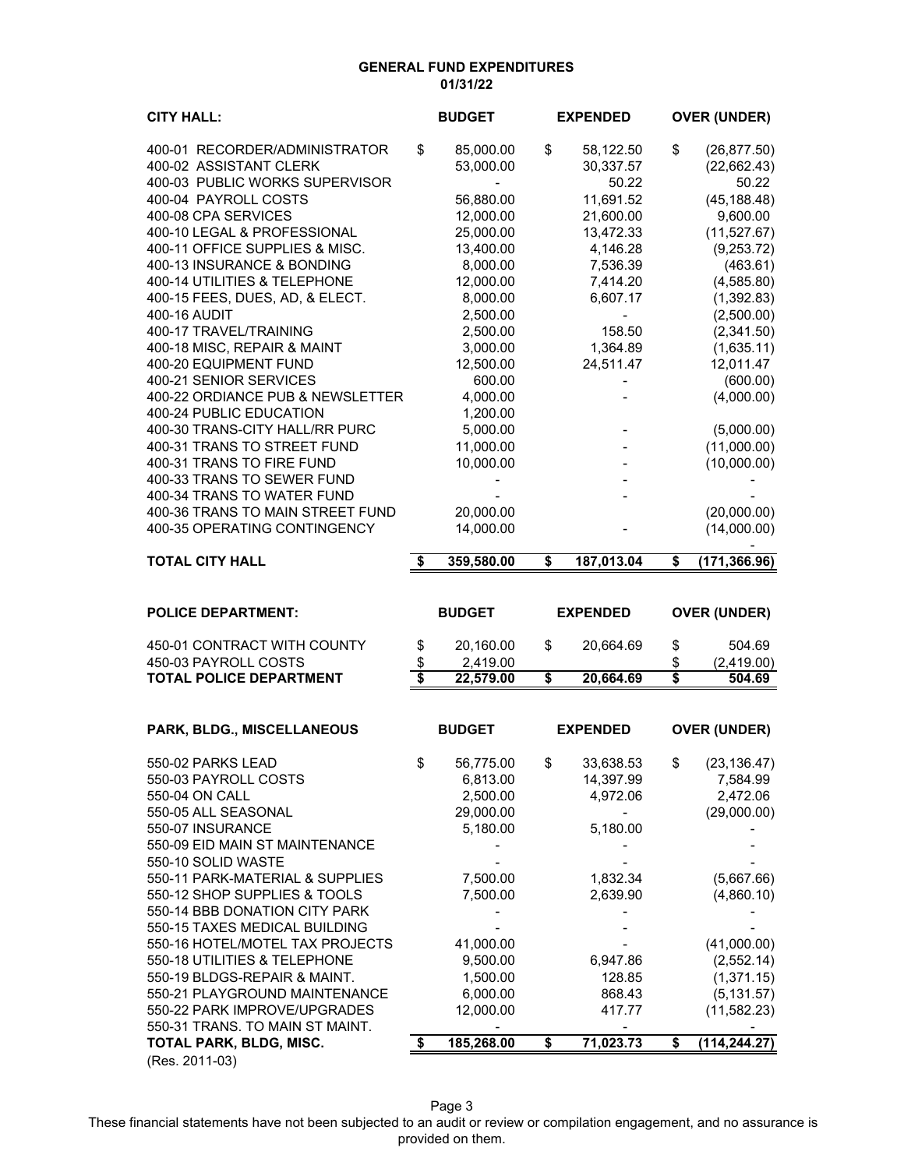### **GENERAL FUND EXPENDITURES 01/31/22**

| <b>CITY HALL:</b>                                             | <b>BUDGET</b>         | <b>EXPENDED</b>                          | <b>OVER (UNDER)</b>       |
|---------------------------------------------------------------|-----------------------|------------------------------------------|---------------------------|
| 400-01 RECORDER/ADMINISTRATOR                                 | \$<br>85,000.00       | \$<br>58,122.50                          | \$<br>(26, 877.50)        |
| 400-02 ASSISTANT CLERK                                        | 53,000.00             | 30,337.57                                | (22, 662.43)              |
| 400-03 PUBLIC WORKS SUPERVISOR<br>400-04 PAYROLL COSTS        | 56,880.00             | 50.22<br>11,691.52                       | 50.22<br>(45, 188.48)     |
| 400-08 CPA SERVICES                                           | 12,000.00             | 21,600.00                                | 9,600.00                  |
| 400-10 LEGAL & PROFESSIONAL                                   | 25,000.00             | 13,472.33                                | (11,527.67)               |
| 400-11 OFFICE SUPPLIES & MISC.                                | 13,400.00             | 4,146.28                                 | (9,253.72)                |
| 400-13 INSURANCE & BONDING                                    | 8,000.00              | 7,536.39                                 | (463.61)                  |
| 400-14 UTILITIES & TELEPHONE                                  | 12,000.00             | 7,414.20                                 | (4,585.80)                |
| 400-15 FEES, DUES, AD, & ELECT.<br>400-16 AUDIT               | 8,000.00<br>2,500.00  | 6,607.17<br>$\qquad \qquad \blacksquare$ | (1,392.83)<br>(2,500.00)  |
| 400-17 TRAVEL/TRAINING                                        | 2,500.00              | 158.50                                   | (2,341.50)                |
| 400-18 MISC, REPAIR & MAINT                                   | 3,000.00              | 1,364.89                                 | (1,635.11)                |
| 400-20 EQUIPMENT FUND                                         | 12,500.00             | 24,511.47                                | 12,011.47                 |
| 400-21 SENIOR SERVICES                                        | 600.00                |                                          | (600.00)                  |
| 400-22 ORDIANCE PUB & NEWSLETTER                              | 4,000.00              |                                          | (4,000.00)                |
| 400-24 PUBLIC EDUCATION                                       | 1,200.00              |                                          |                           |
| 400-30 TRANS-CITY HALL/RR PURC<br>400-31 TRANS TO STREET FUND | 5,000.00<br>11,000.00 |                                          | (5,000.00)<br>(11,000.00) |
| 400-31 TRANS TO FIRE FUND                                     | 10,000.00             |                                          | (10,000.00)               |
| 400-33 TRANS TO SEWER FUND                                    |                       |                                          |                           |
| 400-34 TRANS TO WATER FUND                                    |                       |                                          |                           |
| 400-36 TRANS TO MAIN STREET FUND                              | 20,000.00             |                                          | (20,000.00)               |
| 400-35 OPERATING CONTINGENCY                                  | 14,000.00             |                                          | (14,000.00)               |
| <b>TOTAL CITY HALL</b>                                        | \$<br>359,580.00      | \$<br>187,013.04                         | \$<br>(171, 366.96)       |
|                                                               |                       |                                          |                           |
|                                                               |                       |                                          |                           |
| <b>POLICE DEPARTMENT:</b>                                     | <b>BUDGET</b>         | <b>EXPENDED</b>                          | <b>OVER (UNDER)</b>       |
| 450-01 CONTRACT WITH COUNTY                                   | \$<br>20,160.00       | \$<br>20,664.69                          | \$<br>504.69              |
| 450-03 PAYROLL COSTS                                          | \$<br>2,419.00        |                                          | \$<br>(2,419.00)          |
| <b>TOTAL POLICE DEPARTMENT</b>                                | \$<br>22,579.00       | \$<br>20,664.69                          | \$<br>504.69              |
|                                                               |                       |                                          |                           |
| PARK, BLDG., MISCELLANEOUS                                    | <b>BUDGET</b>         | <b>EXPENDED</b>                          | <b>OVER (UNDER)</b>       |
| 550-02 PARKS LEAD                                             | \$<br>56,775.00       | \$<br>33,638.53                          | \$<br>(23, 136.47)        |
| 550-03 PAYROLL COSTS                                          | 6,813.00              | 14,397.99                                | 7,584.99                  |
| 550-04 ON CALL                                                | 2,500.00              | 4,972.06                                 | 2,472.06                  |
| 550-05 ALL SEASONAL                                           | 29,000.00             |                                          | (29,000.00)               |
| 550-07 INSURANCE                                              | 5,180.00              | 5,180.00                                 |                           |
| 550-09 EID MAIN ST MAINTENANCE<br>550-10 SOLID WASTE          |                       |                                          |                           |
| 550-11 PARK-MATERIAL & SUPPLIES                               | 7,500.00              | 1,832.34                                 | (5,667.66)                |
| 550-12 SHOP SUPPLIES & TOOLS                                  | 7,500.00              | 2,639.90                                 | (4,860.10)                |
| 550-14 BBB DONATION CITY PARK                                 |                       |                                          |                           |
| 550-15 TAXES MEDICAL BUILDING                                 |                       |                                          |                           |
| 550-16 HOTEL/MOTEL TAX PROJECTS                               | 41,000.00             |                                          | (41,000.00)               |
| 550-18 UTILITIES & TELEPHONE                                  | 9,500.00              | 6,947.86                                 | (2, 552.14)               |
| 550-19 BLDGS-REPAIR & MAINT.<br>550-21 PLAYGROUND MAINTENANCE | 1,500.00<br>6,000.00  | 128.85<br>868.43                         | (1,371.15)<br>(5, 131.57) |
| 550-22 PARK IMPROVE/UPGRADES                                  | 12,000.00             | 417.77                                   | (11, 582.23)              |
| 550-31 TRANS. TO MAIN ST MAINT.                               |                       |                                          |                           |
| TOTAL PARK, BLDG, MISC.<br>(Res. 2011-03)                     | \$<br>185,268.00      | \$<br>71,023.73                          | \$<br>(114,244.27)        |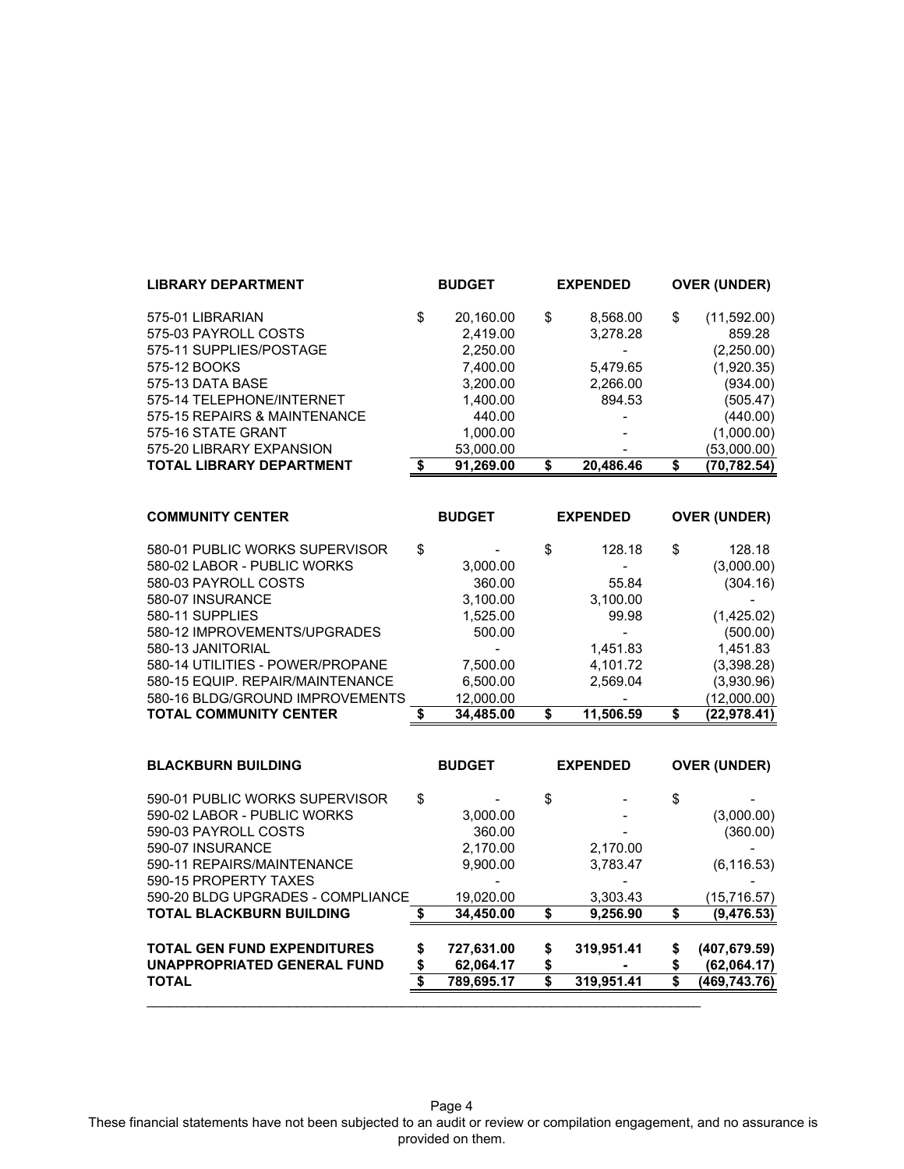| <b>LIBRARY DEPARTMENT</b>       | <b>BUDGET</b>   | <b>EXPENDED</b> | <b>OVER (UNDER)</b> |
|---------------------------------|-----------------|-----------------|---------------------|
| 575-01 LIBRARIAN                | \$<br>20,160.00 | \$<br>8,568.00  | \$<br>(11,592.00)   |
| 575-03 PAYROLL COSTS            | 2.419.00        | 3,278.28        | 859.28              |
| 575-11 SUPPLIES/POSTAGE         | 2,250.00        |                 | (2,250.00)          |
| 575-12 BOOKS                    | 7.400.00        | 5.479.65        | (1,920.35)          |
| 575-13 DATA BASE                | 3,200.00        | 2,266.00        | (934.00)            |
| 575-14 TELEPHONE/INTERNET       | 1,400.00        | 894.53          | (505.47)            |
| 575-15 REPAIRS & MAINTENANCE    | 440.00          |                 | (440.00)            |
| 575-16 STATE GRANT              | 1,000.00        |                 | (1,000.00)          |
| 575-20 LIBRARY EXPANSION        | 53,000.00       |                 | (53,000.00)         |
| <b>TOTAL LIBRARY DEPARTMENT</b> | 91.269.00       | 20.486.46       | (70,782.54)         |
|                                 |                 |                 |                     |

| <b>COMMUNITY CENTER</b>          | <b>BUDGET</b> |    | <b>EXPENDED</b> |    | <b>OVER (UNDER)</b> |
|----------------------------------|---------------|----|-----------------|----|---------------------|
| 580-01 PUBLIC WORKS SUPERVISOR   | \$            | \$ | 128.18          | \$ | 128.18              |
| 580-02 LABOR - PUBLIC WORKS      | 3,000.00      |    |                 |    | (3,000.00)          |
| 580-03 PAYROLL COSTS             | 360.00        |    | 55.84           |    | (304.16)            |
| 580-07 INSURANCE                 | 3,100.00      |    | 3,100.00        |    |                     |
| 580-11 SUPPLIES                  | 1,525.00      |    | 99.98           |    | (1,425.02)          |
| 580-12 IMPROVEMENTS/UPGRADES     | 500.00        |    |                 |    | (500.00)            |
| 580-13 JANITORIAL                |               |    | 1,451.83        |    | 1,451.83            |
| 580-14 UTILITIES - POWER/PROPANE | 7,500.00      |    | 4.101.72        |    | (3,398.28)          |
| 580-15 EQUIP. REPAIR/MAINTENANCE | 6.500.00      |    | 2.569.04        |    | (3,930.96)          |
| 580-16 BLDG/GROUND IMPROVEMENTS  | 12,000.00     |    |                 |    | (12,000.00)         |
| <b>TOTAL COMMUNITY CENTER</b>    | 34.485.00     | S  | 11.506.59       | S  | (22.978.41)         |

| <b>BLACKBURN BUILDING</b>          |    | <b>BUDGET</b> |    | <b>EXPENDED</b> |    | <b>OVER (UNDER)</b> |
|------------------------------------|----|---------------|----|-----------------|----|---------------------|
| 590-01 PUBLIC WORKS SUPERVISOR     | \$ |               | \$ |                 | \$ |                     |
| 590-02 LABOR - PUBLIC WORKS        |    | 3.000.00      |    |                 |    | (3,000.00)          |
| 590-03 PAYROLL COSTS               |    | 360.00        |    |                 |    | (360.00)            |
| 590-07 INSURANCE                   |    | 2.170.00      |    | 2,170.00        |    |                     |
| 590-11 REPAIRS/MAINTENANCE         |    | 9,900.00      |    | 3,783.47        |    | (6, 116.53)         |
| 590-15 PROPERTY TAXES              |    |               |    |                 |    |                     |
| 590-20 BLDG UPGRADES - COMPLIANCE  |    | 19,020.00     |    | 3,303.43        |    | (15,716.57)         |
| <b>TOTAL BLACKBURN BUILDING</b>    |    | 34,450.00     | S  | 9,256.90        | S  | (9,476.53)          |
| <b>TOTAL GEN FUND EXPENDITURES</b> | \$ | 727,631.00    | \$ | 319,951.41      | \$ | (407, 679.59)       |
| UNAPPROPRIATED GENERAL FUND        | S  | 62,064.17     | \$ |                 | \$ | (62,064.17)         |
| <b>TOTAL</b>                       |    | 789,695.17    | S  | 319,951.41      | \$ | (469,743.76)        |
|                                    |    |               |    |                 |    |                     |

Page 4 These financial statements have not been subjected to an audit or review or compilation engagement, and no assurance is provided on them.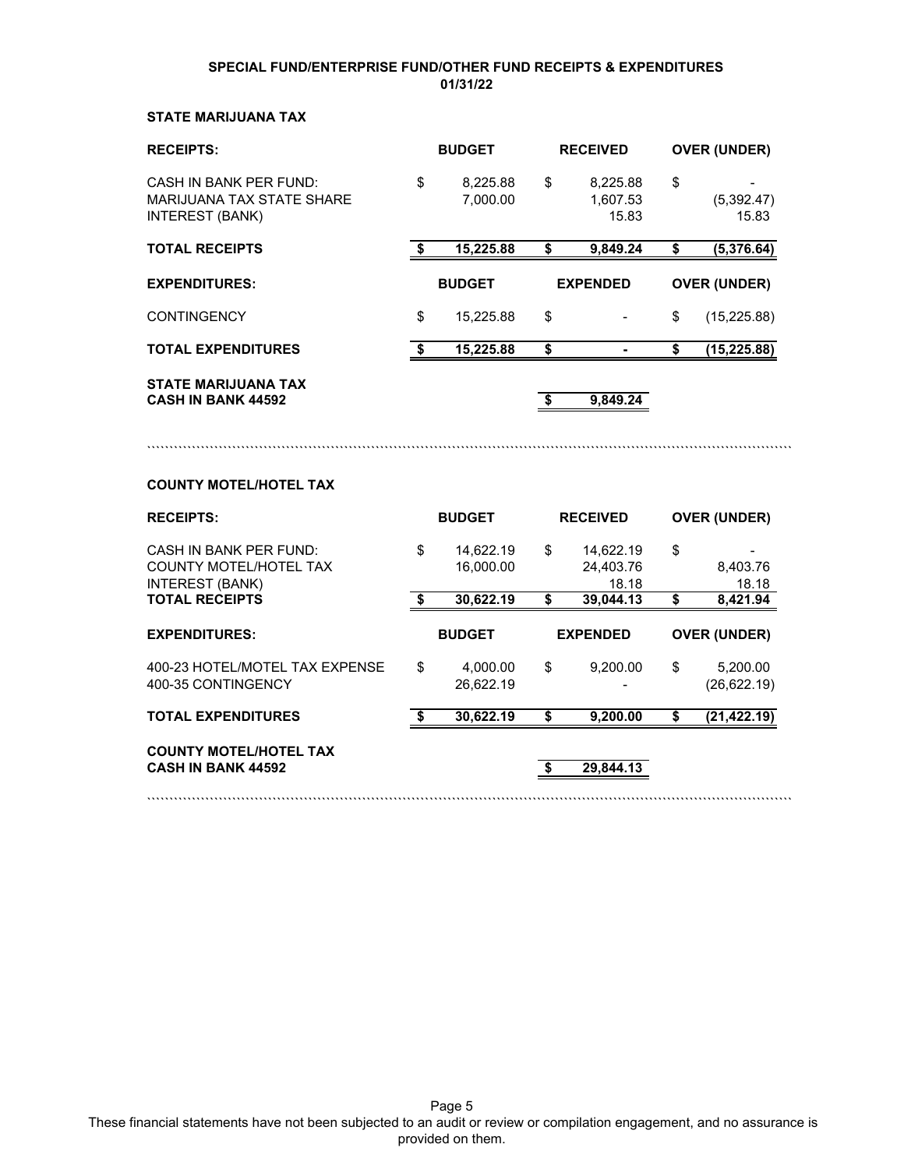### **SPECIAL FUND/ENTERPRISE FUND/OTHER FUND RECEIPTS & EXPENDITURES 01/31/22**

### **STATE MARIJUANA TAX**

| <b>RECEIPTS:</b>                                                                     |      | <b>BUDGET</b>          | <b>RECEIVED</b> |                                 | <b>OVER (UNDER)</b> |                     |
|--------------------------------------------------------------------------------------|------|------------------------|-----------------|---------------------------------|---------------------|---------------------|
| CASH IN BANK PFR FUND:<br><b>MARIJUANA TAX STATE SHARE</b><br><b>INTEREST (BANK)</b> | \$   | 8,225.88<br>7.000.00   | \$              | 8,225.88<br>1,607.53<br>15.83   | \$                  | (5,392.47)<br>15.83 |
| <b>TOTAL RECEIPTS</b>                                                                | - \$ | 15,225.88              | \$              | 9,849.24                        | \$                  | (5,376.64)          |
| <b>EXPENDITURES:</b>                                                                 |      | <b>BUDGET</b>          |                 | <b>EXPENDED</b>                 |                     | <b>OVER (UNDER)</b> |
| <b>CONTINGENCY</b>                                                                   | \$   | 15,225.88              | \$              |                                 | \$                  | (15, 225.88)        |
| <b>TOTAL EXPENDITURES</b>                                                            | \$   | 15,225.88              | \$              |                                 | \$                  | (15, 225.88)        |
| <b>STATE MARIJUANA TAX</b><br><b>CASH IN BANK 44592</b>                              |      |                        | \$              | 9,849.24                        |                     |                     |
| <b>COUNTY MOTEL/HOTEL TAX</b>                                                        |      |                        |                 |                                 |                     |                     |
| <b>RECEIPTS:</b>                                                                     |      | <b>BUDGET</b>          |                 | <b>RECEIVED</b>                 |                     | <b>OVER (UNDER)</b> |
| <b>CASH IN BANK PER FUND:</b><br>COUNTY MOTEL/HOTEL TAX<br><b>INTEREST (BANK)</b>    | \$   | 14,622.19<br>16,000.00 | \$              | 14,622.19<br>24,403.76<br>18.18 | \$                  | 8,403.76<br>18.18   |
| <b>TOTAL RECEIPTS</b>                                                                | \$   | 30,622.19              | \$              | 39,044.13                       | \$                  | 8,421.94            |
| <b>EXPENDITURES:</b>                                                                 |      | <b>BUDGET</b>          |                 | <b>EXPENDED</b>                 |                     | <b>OVER (UNDER)</b> |

400-23 HOTEL/MOTEL TAX EXPENSE  $\begin{array}{cccc} 4,000.00 & 400.23 & 5,200.00 \\ 400-35 & 4,000.35 & 5,200.00 \end{array}$  (26,622.19) 400-35 CONTINGENCY 26,622.19

**TOTAL EXPENDITURES 30,622.19 \$ 9,200.00 \$ (21,422.19) \$** 

**COUNTY MOTEL/HOTEL TAX CASH IN BANK 44592 \$ 29,844.13**

Page 5 These financial statements have not been subjected to an audit or review or compilation engagement, and no assurance is provided on them.

````````````````````````````````````````````````````````````````````````````````````````````````````````````````````````````````````````````````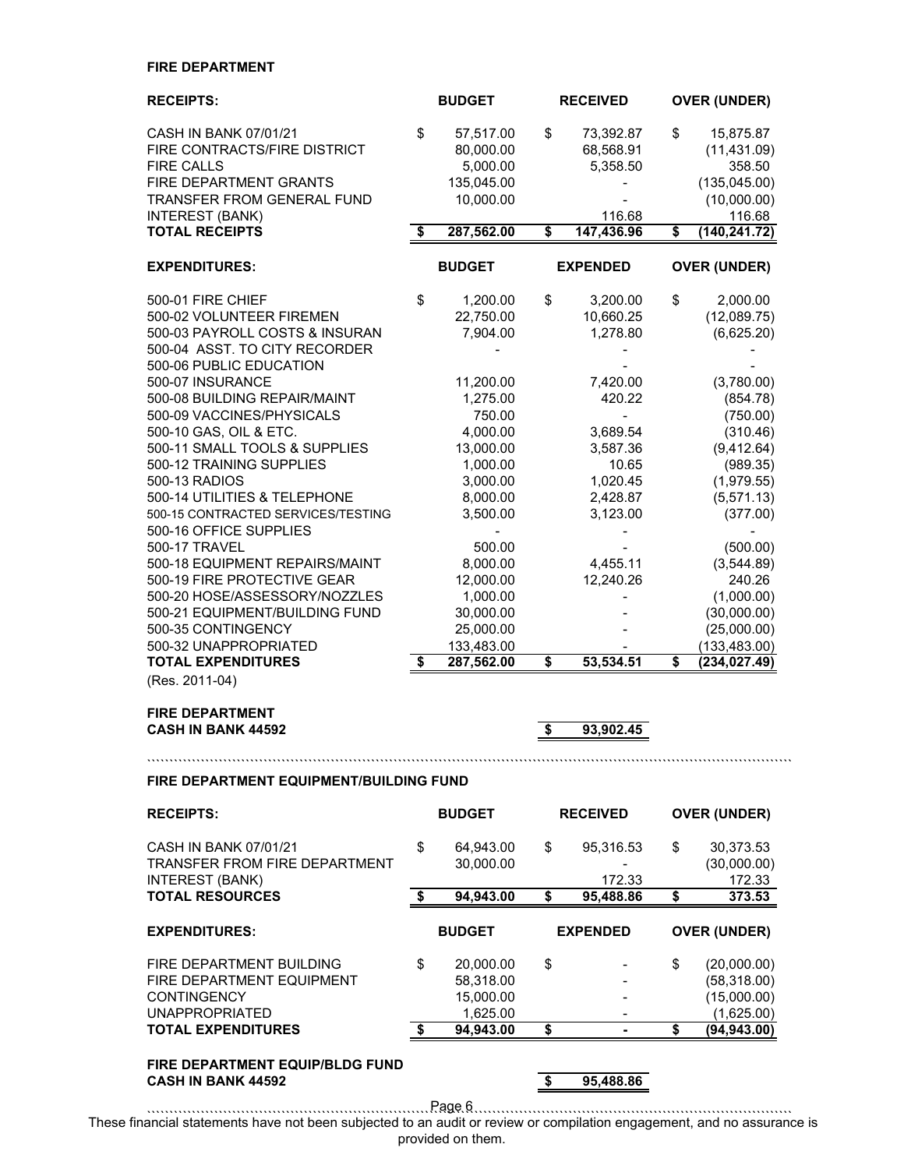### **FIRE DEPARTMENT**

| <b>RECEIPTS:</b>                                             |    | <b>BUDGET</b> | <b>RECEIVED</b>  | <b>OVER (UNDER)</b>                  |
|--------------------------------------------------------------|----|---------------|------------------|--------------------------------------|
| CASH IN BANK 07/01/21                                        | \$ | 57,517.00     | \$<br>73,392.87  | \$<br>15,875.87                      |
| FIRE CONTRACTS/FIRE DISTRICT                                 |    | 80,000.00     | 68,568.91        | (11, 431.09)                         |
| <b>FIRE CALLS</b>                                            |    | 5,000.00      | 5,358.50         | 358.50                               |
| FIRE DEPARTMENT GRANTS                                       |    | 135,045.00    |                  | (135, 045.00)                        |
| <b>TRANSFER FROM GENERAL FUND</b>                            |    | 10,000.00     |                  | (10,000.00)                          |
| <b>INTEREST (BANK)</b>                                       |    |               | 116.68           | 116.68                               |
| <b>TOTAL RECEIPTS</b>                                        | \$ | 287,562.00    | \$<br>147,436.96 | \$<br>(140, 241.72)                  |
| <b>EXPENDITURES:</b>                                         |    | <b>BUDGET</b> | <b>EXPENDED</b>  | <b>OVER (UNDER)</b>                  |
| 500-01 FIRE CHIEF                                            | \$ | 1,200.00      | \$<br>3,200.00   | \$<br>2,000.00                       |
| 500-02 VOLUNTEER FIREMEN                                     |    | 22,750.00     | 10,660.25        | (12,089.75)                          |
| 500-03 PAYROLL COSTS & INSURAN                               |    | 7,904.00      | 1,278.80         | (6,625.20)                           |
| 500-04 ASST. TO CITY RECORDER                                |    |               |                  |                                      |
| 500-06 PUBLIC EDUCATION                                      |    |               |                  |                                      |
| 500-07 INSURANCE                                             |    | 11,200.00     | 7,420.00         | (3,780.00)                           |
| 500-08 BUILDING REPAIR/MAINT                                 |    | 1,275.00      | 420.22           | (854.78)                             |
| 500-09 VACCINES/PHYSICALS                                    |    | 750.00        | $\overline{a}$   | (750.00)                             |
| 500-10 GAS, OIL & ETC.                                       |    | 4,000.00      | 3,689.54         | (310.46)                             |
| 500-11 SMALL TOOLS & SUPPLIES                                |    | 13,000.00     | 3,587.36         | (9,412.64)                           |
| 500-12 TRAINING SUPPLIES                                     |    | 1,000.00      | 10.65            | (989.35)                             |
| 500-13 RADIOS                                                |    | 3,000.00      | 1,020.45         | (1,979.55)                           |
| 500-14 UTILITIES & TELEPHONE                                 |    | 8,000.00      | 2,428.87         | (5, 571.13)                          |
| 500-15 CONTRACTED SERVICES/TESTING<br>500-16 OFFICE SUPPLIES |    | 3,500.00      | 3,123.00         | (377.00)<br>$\overline{\phantom{a}}$ |
| 500-17 TRAVEL                                                |    | 500.00        |                  | (500.00)                             |
| 500-18 EQUIPMENT REPAIRS/MAINT                               |    | 8,000.00      | 4,455.11         | (3,544.89)                           |
| 500-19 FIRE PROTECTIVE GEAR                                  |    | 12,000.00     | 12,240.26        | 240.26                               |
| 500-20 HOSE/ASSESSORY/NOZZLES                                |    | 1,000.00      |                  | (1,000.00)                           |
| 500-21 EQUIPMENT/BUILDING FUND                               |    | 30,000.00     |                  | (30,000.00)                          |
| 500-35 CONTINGENCY                                           |    | 25,000.00     |                  | (25,000.00)                          |
| 500-32 UNAPPROPRIATED                                        |    | 133,483.00    |                  | (133, 483.00)                        |
| <b>TOTAL EXPENDITURES</b>                                    | S  | 287,562.00    | \$<br>53,534.51  | \$<br>(234, 027.49)                  |
| (Res. 2011-04)                                               |    |               |                  |                                      |
| <b>FIRE DEPARTMENT</b>                                       |    |               |                  |                                      |
| <b>CASH IN BANK 44592</b>                                    |    |               | \$<br>93,902.45  |                                      |
|                                                              |    |               |                  |                                      |
| FIRE DEPARTMENT EQUIPMENT/BUILDING FUND                      |    |               |                  |                                      |
| <b>RECEIPTS:</b>                                             |    | <b>BUDGET</b> | <b>RECEIVED</b>  | <b>OVER (UNDER)</b>                  |
| CASH IN BANK 07/01/21                                        | \$ | 64,943.00     | \$<br>95,316.53  | \$<br>30,373.53                      |
| <b>TRANSFER FROM FIRE DEPARTMENT</b>                         |    | 30,000.00     |                  | (30,000.00)                          |
| <b>INTEREST (BANK)</b>                                       |    |               | 172.33           | 172.33                               |
| <b>TOTAL RESOURCES</b>                                       | \$ | 94,943.00     | \$<br>95,488.86  | \$<br>373.53                         |
| <b>EXPENDITURES:</b>                                         |    | <b>BUDGET</b> | <b>EXPENDED</b>  | <b>OVER (UNDER)</b>                  |
| FIRE DEPARTMENT BUILDING                                     | \$ | 20,000.00     | \$               | \$<br>(20,000.00)                    |
| FIRE DEPARTMENT EQUIPMENT                                    |    | 58,318.00     |                  | (58, 318.00)                         |
| <b>CONTINGENCY</b>                                           |    | 15,000.00     |                  | (15,000.00)                          |
| <b>UNAPPROPRIATED</b>                                        |    | 1,625.00      |                  | (1,625.00)                           |
| <b>TOTAL EXPENDITURES</b>                                    | \$ | 94,943.00     | \$               | \$<br>(94, 943.00)                   |

**FIRE DEPARTMENT EQUIP/BLDG FUND CASH IN BANK 44592 \$ 95,488.86**

```````````````````````````````````````````````````````````````````````````````````````````````````````````````````````````````````````````````` Page 6 These financial statements have not been subjected to an audit or review or compilation engagement, and no assurance is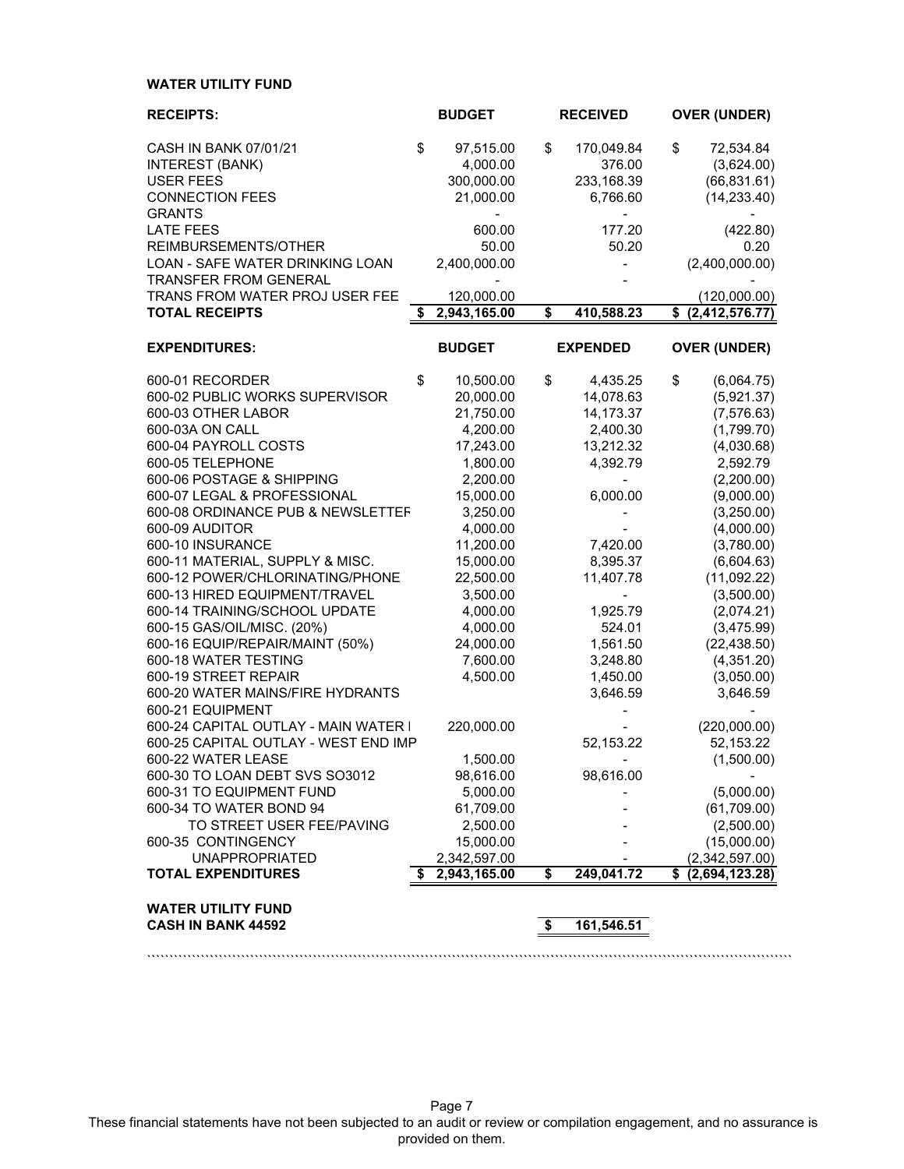### **WATER UTILITY FUND**

| <b>RECEIPTS:</b>                                       | <b>BUDGET</b>      |                                  | <b>RECEIVED</b> | <b>OVER (UNDER)</b>  |
|--------------------------------------------------------|--------------------|----------------------------------|-----------------|----------------------|
| CASH IN BANK 07/01/21                                  | \$<br>97,515.00    | \$                               | 170,049.84      | \$<br>72,534.84      |
| INTEREST (BANK)                                        | 4,000.00           |                                  | 376.00          | (3,624.00)           |
| <b>USER FEES</b>                                       | 300,000.00         |                                  | 233,168.39      | (66, 831.61)         |
| <b>CONNECTION FEES</b>                                 | 21,000.00          |                                  | 6,766.60        | (14, 233.40)         |
| <b>GRANTS</b>                                          |                    |                                  |                 |                      |
| <b>LATE FEES</b>                                       | 600.00             |                                  | 177.20          | (422.80)             |
| REIMBURSEMENTS/OTHER                                   | 50.00              |                                  | 50.20           | 0.20                 |
| LOAN - SAFE WATER DRINKING LOAN                        | 2,400,000.00       |                                  |                 | (2,400,000.00)       |
| <b>TRANSFER FROM GENERAL</b>                           |                    |                                  |                 |                      |
| TRANS FROM WATER PROJ USER FEE                         | 120,000.00         |                                  |                 | (120,000.00)         |
| <b>TOTAL RECEIPTS</b>                                  | \$<br>2,943,165.00 | \$                               | 410,588.23      | \$ (2,412,576.77)    |
|                                                        |                    |                                  |                 |                      |
| <b>EXPENDITURES:</b>                                   | <b>BUDGET</b>      |                                  | <b>EXPENDED</b> | <b>OVER (UNDER)</b>  |
| 600-01 RECORDER                                        | \$<br>10,500.00    | \$                               | 4,435.25        | \$<br>(6,064.75)     |
| 600-02 PUBLIC WORKS SUPERVISOR                         | 20,000.00          |                                  | 14,078.63       | (5,921.37)           |
| 600-03 OTHER LABOR                                     | 21,750.00          |                                  | 14,173.37       | (7, 576.63)          |
| 600-03A ON CALL                                        | 4,200.00           |                                  | 2,400.30        | (1,799.70)           |
| 600-04 PAYROLL COSTS                                   | 17,243.00          |                                  | 13,212.32       | (4,030.68)           |
| 600-05 TELEPHONE                                       | 1,800.00           |                                  | 4,392.79        | 2,592.79             |
| 600-06 POSTAGE & SHIPPING                              | 2,200.00           |                                  |                 | (2,200.00)           |
| 600-07 LEGAL & PROFESSIONAL                            | 15,000.00          |                                  | 6,000.00        | (9,000.00)           |
| 600-08 ORDINANCE PUB & NEWSLETTEF                      | 3,250.00           |                                  |                 | (3,250.00)           |
| 600-09 AUDITOR                                         | 4,000.00           |                                  |                 | (4,000.00)           |
| 600-10 INSURANCE                                       | 11,200.00          |                                  | 7,420.00        | (3,780.00)           |
| 600-11 MATERIAL, SUPPLY & MISC.                        | 15,000.00          |                                  | 8,395.37        | (6,604.63)           |
| 600-12 POWER/CHLORINATING/PHONE                        | 22,500.00          |                                  | 11,407.78       | (11,092.22)          |
| 600-13 HIRED EQUIPMENT/TRAVEL                          | 3,500.00           |                                  |                 | (3,500.00)           |
| 600-14 TRAINING/SCHOOL UPDATE                          | 4,000.00           |                                  | 1,925.79        | (2,074.21)           |
| 600-15 GAS/OIL/MISC. (20%)                             | 4,000.00           |                                  | 524.01          | (3,475.99)           |
| 600-16 EQUIP/REPAIR/MAINT (50%)                        | 24,000.00          |                                  | 1,561.50        | (22, 438.50)         |
| 600-18 WATER TESTING                                   | 7,600.00           |                                  | 3,248.80        | (4,351.20)           |
| 600-19 STREET REPAIR                                   | 4,500.00           |                                  | 1,450.00        | (3,050.00)           |
| 600-20 WATER MAINS/FIRE HYDRANTS                       |                    |                                  | 3,646.59        | 3,646.59             |
| 600-21 EQUIPMENT                                       |                    |                                  |                 |                      |
| 600-24 CAPITAL OUTLAY - MAIN WATER I                   | 220,000.00         |                                  |                 | (220,000.00)         |
| 600-25 CAPITAL OUTLAY - WEST END IMP                   |                    |                                  | 52,153.22       | 52,153.22            |
| 600-22 WATER LEASE                                     | 1,500.00           |                                  |                 | (1,500.00)           |
| 600-30 TO LOAN DEBT SVS SO3012                         | 98,616.00          |                                  | 98,616.00       |                      |
| 600-31 TO EQUIPMENT FUND                               | 5,000.00           |                                  |                 | (5,000.00)           |
| 600-34 TO WATER BOND 94                                | 61,709.00          |                                  |                 | (61,709.00)          |
| TO STREET USER FEE/PAVING                              | 2,500.00           |                                  |                 | (2,500.00)           |
| 600-35 CONTINGENCY                                     | 15,000.00          |                                  |                 | (15,000.00)          |
| <b>UNAPPROPRIATED</b>                                  | 2,342,597.00       |                                  |                 | (2,342,597.00)       |
| <b>TOTAL EXPENDITURES</b>                              | 2,943,165.00       | \$                               | 249,041.72      | \$<br>(2,694,123.28) |
|                                                        |                    |                                  |                 |                      |
| <b>WATER UTILITY FUND</b><br><b>CASH IN BANK 44592</b> |                    | $\overline{\boldsymbol{\theta}}$ | 161,546.51      |                      |

Page 7 These financial statements have not been subjected to an audit or review or compilation engagement, and no assurance is provided on them.

````````````````````````````````````````````````````````````````````````````````````````````````````````````````````````````````````````````````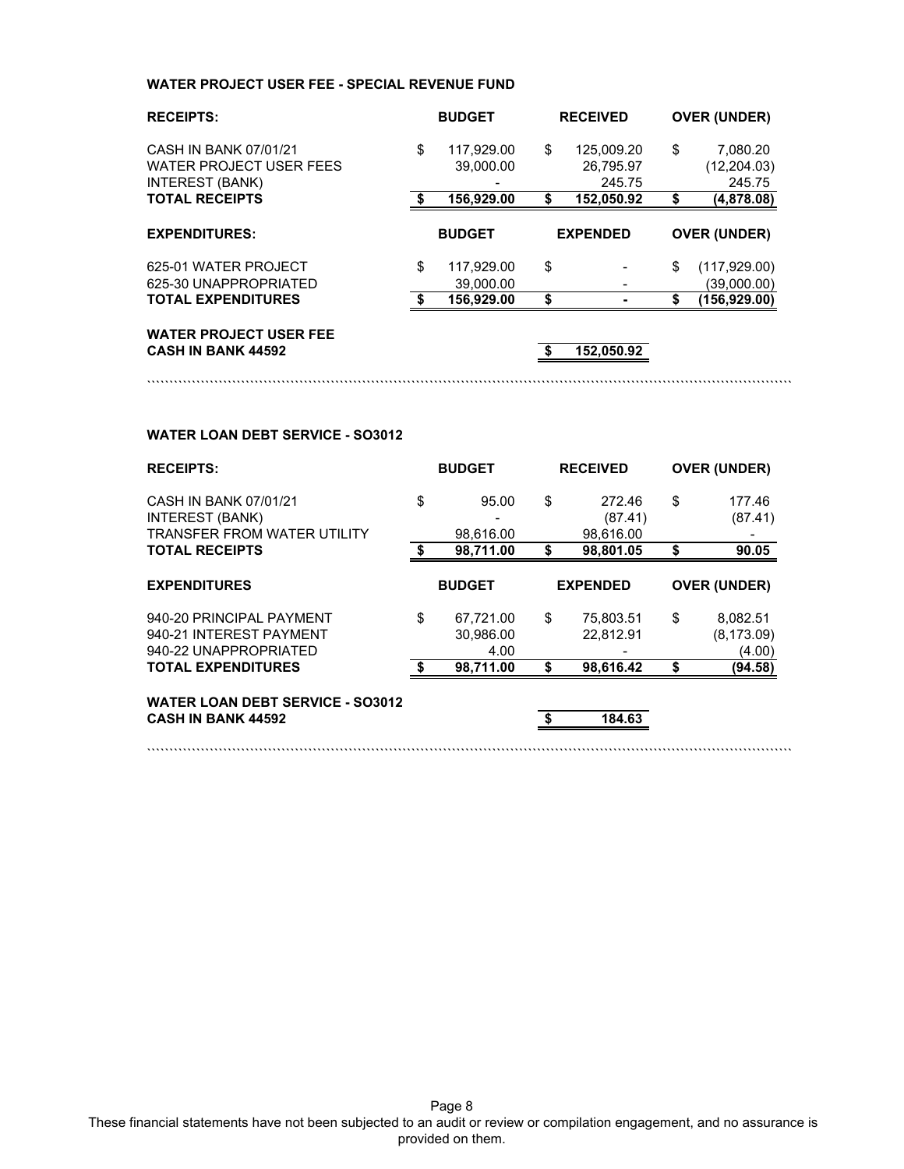### **WATER PROJECT USER FEE - SPECIAL REVENUE FUND**

| <b>RECEIPTS:</b>                                                                  | <b>BUDGET</b>                 |    | <b>RECEIVED</b>                   | <b>OVER (UNDER)</b>                      |
|-----------------------------------------------------------------------------------|-------------------------------|----|-----------------------------------|------------------------------------------|
| CASH IN BANK 07/01/21<br><b>WATER PROJECT USER FEES</b><br><b>INTEREST (BANK)</b> | \$<br>117.929.00<br>39,000.00 | \$ | 125.009.20<br>26,795.97<br>245.75 | \$<br>7,080.20<br>(12, 204.03)<br>245.75 |
| <b>TOTAL RECEIPTS</b>                                                             | 156,929.00                    | S  | 152,050.92                        | \$<br>(4,878.08)                         |
|                                                                                   |                               |    |                                   |                                          |
| <b>EXPENDITURES:</b>                                                              | <b>BUDGET</b>                 |    | <b>EXPENDED</b>                   | <b>OVER (UNDER)</b>                      |
| 625-01 WATER PROJECT                                                              | \$<br>117,929.00              | \$ |                                   | \$                                       |
| 625-30 UNAPPROPRIATED                                                             | 39,000.00                     |    |                                   | (117, 929.00)<br>(39,000.00)             |
| <b>TOTAL EXPENDITURES</b>                                                         | 156,929.00                    | \$ |                                   | (156, 929.00)                            |

````````````````````````````````````````````````````````````````````````````````````````````````````````````````````````````````````````````````

**CASH IN BANK 44592 \$ 152,050.92**

````````````````````````````````````````````````````````````````````````````````````````````````````````````````````````````````````````````````

### **WATER LOAN DEBT SERVICE - SO3012**

| <b>RECEIPTS:</b>                                                               | <b>BUDGET</b>                        |    | <b>RECEIVED</b>                | <b>OVER (UNDER)</b>                     |
|--------------------------------------------------------------------------------|--------------------------------------|----|--------------------------------|-----------------------------------------|
| CASH IN BANK 07/01/21<br>INTEREST (BANK)<br><b>TRANSFER FROM WATER UTILITY</b> | \$<br>95.00<br>98,616.00             | \$ | 272.46<br>(87.41)<br>98,616.00 | \$<br>177.46<br>(87.41)                 |
| <b>TOTAL RECEIPTS</b>                                                          | \$<br>98,711.00                      | S  | 98,801.05                      | \$<br>90.05                             |
| <b>EXPENDITURES</b>                                                            | <b>BUDGET</b>                        |    | <b>EXPENDED</b>                | <b>OVER (UNDER)</b>                     |
| 940-20 PRINCIPAL PAYMENT<br>940-21 INTEREST PAYMENT<br>940-22 UNAPPROPRIATED   | \$<br>67,721.00<br>30,986.00<br>4.00 | \$ | 75,803.51<br>22,812.91         | \$<br>8,082.51<br>(8, 173.09)<br>(4.00) |
| <b>TOTAL EXPENDITURES</b>                                                      | \$<br>98.711.00                      | \$ | 98.616.42                      | \$<br>(94.58)                           |
| <b>WATER LOAN DEBT SERVICE - SO3012</b><br><b>CASH IN BANK 44592</b>           |                                      |    | 184.63                         |                                         |

Page 8 These financial statements have not been subjected to an audit or review or compilation engagement, and no assurance is provided on them.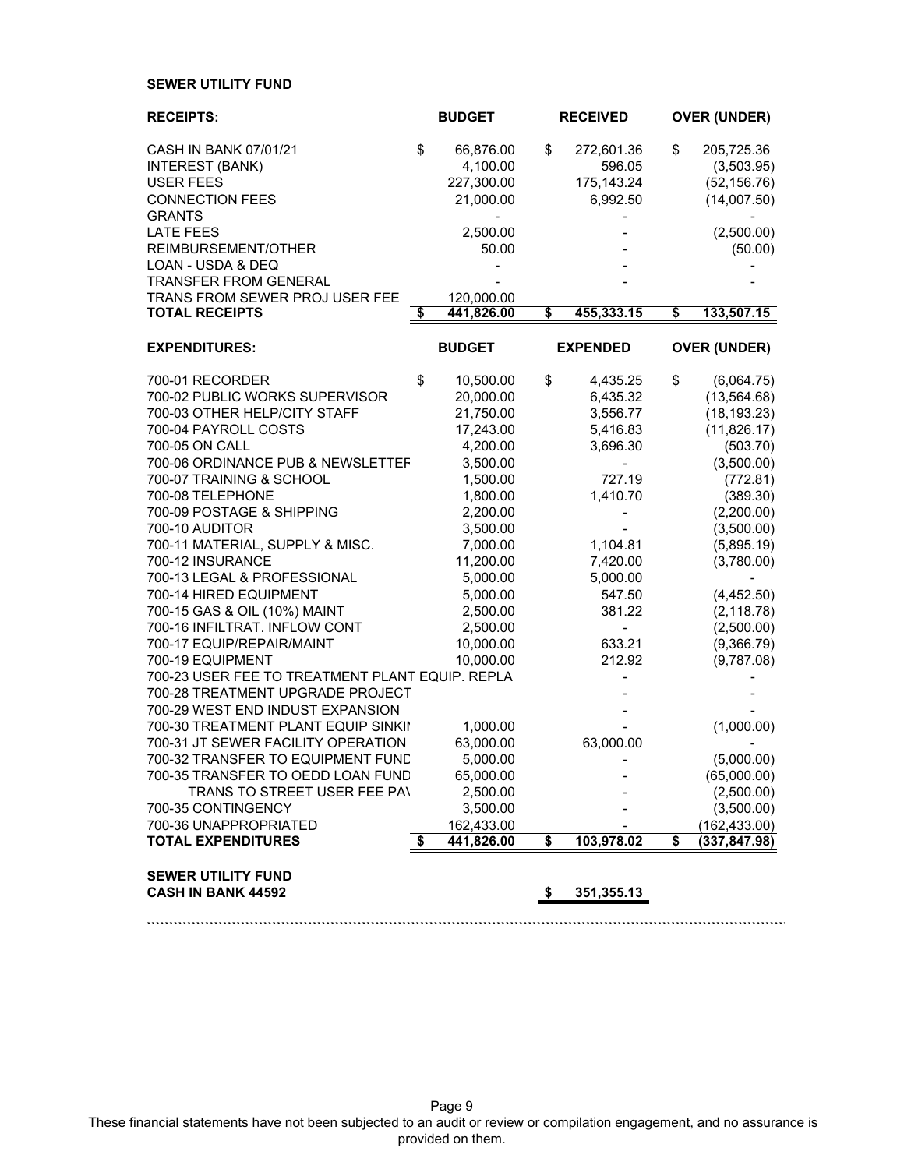### **SEWER UTILITY FUND**

| <b>RECEIPTS:</b>                                              | <b>BUDGET</b>                  | <b>RECEIVED</b>                    | <b>OVER (UNDER)</b>         |
|---------------------------------------------------------------|--------------------------------|------------------------------------|-----------------------------|
| CASH IN BANK 07/01/21                                         | \$<br>66,876.00                | \$<br>272,601.36                   | \$<br>205,725.36            |
| <b>INTEREST (BANK)</b>                                        | 4,100.00                       | 596.05                             | (3,503.95)                  |
| <b>USER FEES</b>                                              | 227,300.00                     | 175, 143.24                        | (52, 156.76)                |
| <b>CONNECTION FEES</b><br><b>GRANTS</b>                       | 21,000.00                      | 6,992.50                           | (14,007.50)                 |
| <b>LATE FEES</b>                                              | 2,500.00                       |                                    | (2,500.00)                  |
| REIMBURSEMENT/OTHER                                           | 50.00                          |                                    | (50.00)                     |
| LOAN - USDA & DEQ                                             |                                |                                    |                             |
| <b>TRANSFER FROM GENERAL</b>                                  |                                |                                    |                             |
| TRANS FROM SEWER PROJ USER FEE<br><b>TOTAL RECEIPTS</b>       | \$<br>120,000.00<br>441,826.00 | \$<br>455,333.15                   | \$<br>133,507.15            |
|                                                               |                                |                                    |                             |
| <b>EXPENDITURES:</b>                                          | <b>BUDGET</b>                  | <b>EXPENDED</b>                    | <b>OVER (UNDER)</b>         |
| 700-01 RECORDER                                               | \$<br>10,500.00                | \$<br>4,435.25                     | \$<br>(6,064.75)            |
| 700-02 PUBLIC WORKS SUPERVISOR                                | 20,000.00                      | 6,435.32                           | (13, 564.68)                |
| 700-03 OTHER HELP/CITY STAFF                                  | 21,750.00                      | 3,556.77                           | (18, 193.23)                |
| 700-04 PAYROLL COSTS                                          | 17,243.00                      | 5,416.83                           | (11,826.17)                 |
| 700-05 ON CALL<br>700-06 ORDINANCE PUB & NEWSLETTEF           | 4,200.00<br>3,500.00           | 3,696.30<br>-                      | (503.70)<br>(3,500.00)      |
| 700-07 TRAINING & SCHOOL                                      | 1,500.00                       | 727.19                             | (772.81)                    |
| 700-08 TELEPHONE                                              | 1,800.00                       | 1,410.70                           | (389.30)                    |
| 700-09 POSTAGE & SHIPPING                                     | 2,200.00                       |                                    | (2,200.00)                  |
| 700-10 AUDITOR                                                | 3,500.00                       |                                    | (3,500.00)                  |
| 700-11 MATERIAL, SUPPLY & MISC.                               | 7,000.00                       | 1,104.81                           | (5,895.19)                  |
| 700-12 INSURANCE                                              | 11,200.00                      | 7,420.00                           | (3,780.00)                  |
| 700-13 LEGAL & PROFESSIONAL                                   | 5,000.00                       | 5,000.00                           |                             |
| 700-14 HIRED EQUIPMENT                                        | 5,000.00                       | 547.50                             | (4,452.50)                  |
| 700-15 GAS & OIL (10%) MAINT<br>700-16 INFILTRAT. INFLOW CONT | 2,500.00<br>2,500.00           | 381.22<br>$\overline{\phantom{0}}$ | (2, 118.78)                 |
| 700-17 EQUIP/REPAIR/MAINT                                     | 10,000.00                      | 633.21                             | (2,500.00)<br>(9,366.79)    |
| 700-19 EQUIPMENT                                              | 10,000.00                      | 212.92                             | (9,787.08)                  |
| 700-23 USER FEE TO TREATMENT PLANT EQUIP. REPLA               |                                |                                    |                             |
| 700-28 TREATMENT UPGRADE PROJECT                              |                                |                                    |                             |
| 700-29 WEST END INDUST EXPANSION                              |                                |                                    |                             |
| 700-30 TREATMENT PLANT EQUIP SINKII                           | 1,000.00                       |                                    | (1,000.00)                  |
| 700-31 JT SEWER FACILITY OPERATION                            | 63,000.00                      | 63,000.00                          |                             |
| 700-32 TRANSFER TO EQUIPMENT FUND                             | 5,000.00                       |                                    | (5,000.00)                  |
| 700-35 TRANSFER TO OEDD LOAN FUND                             | 65,000.00                      |                                    | (65,000.00)                 |
| TRANS TO STREET USER FEE PAN<br>700-35 CONTINGENCY            | 2,500.00<br>3,500.00           |                                    | (2,500.00)                  |
| 700-36 UNAPPROPRIATED                                         | 162,433.00                     |                                    | (3,500.00)<br>(162, 433.00) |
| <b>TOTAL EXPENDITURES</b>                                     | \$<br>441,826.00               | \$<br>103,978.02                   | \$<br>(337, 847.98)         |
|                                                               |                                |                                    |                             |
| <b>SEWER UTILITY FUND</b><br><b>CASH IN BANK 44592</b>        |                                | \$<br>351,355.13                   |                             |
|                                                               |                                |                                    |                             |

Page 9 These financial statements have not been subjected to an audit or review or compilation engagement, and no assurance is provided on them.

**```````````````````````````````````````````````````````````````````````````````````````````````````````````````````````````````````````````````**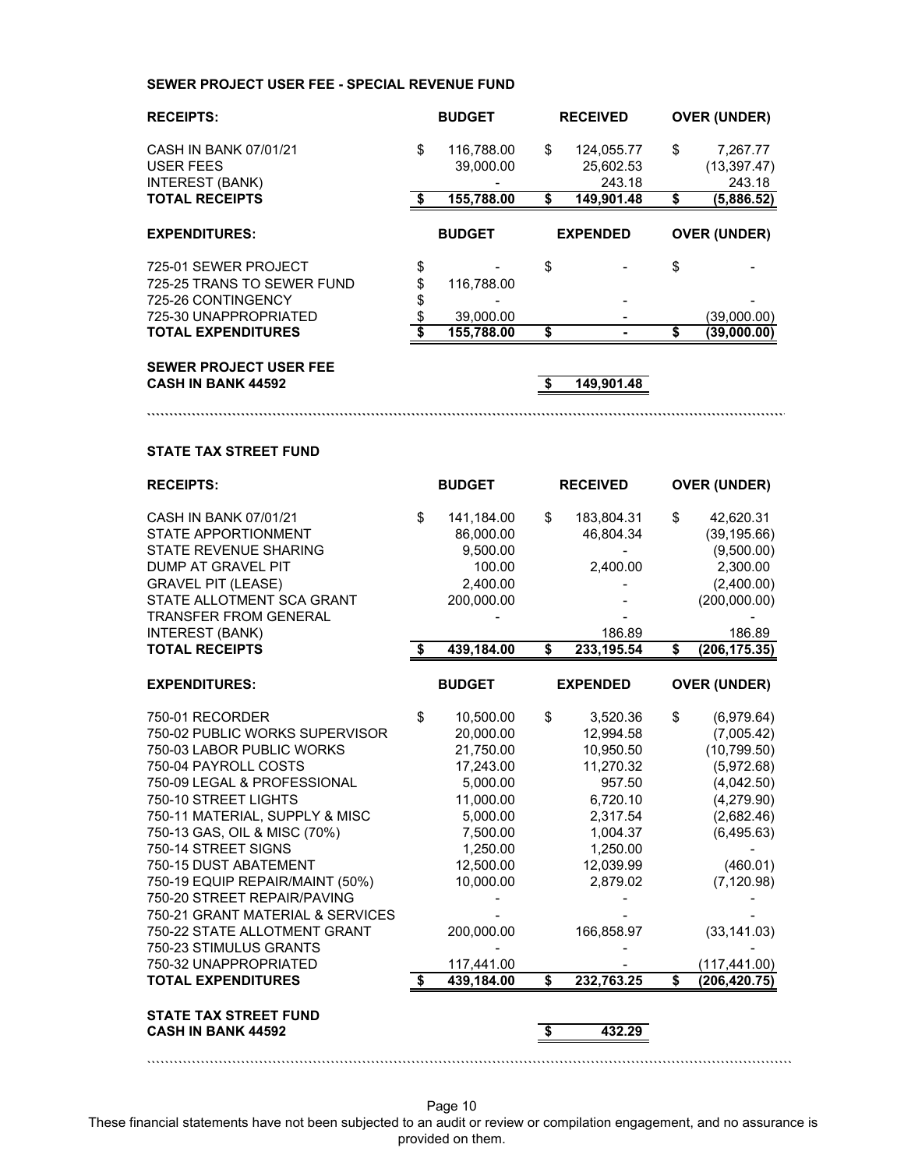### **SEWER PROJECT USER FEE - SPECIAL REVENUE FUND**

| <b>RECEIPTS:</b>                                             | <b>BUDGET</b>                 |    | <b>RECEIVED</b>                   |    | <b>OVER (UNDER)</b>                |
|--------------------------------------------------------------|-------------------------------|----|-----------------------------------|----|------------------------------------|
| CASH IN BANK 07/01/21<br>USER FEES<br><b>INTEREST (BANK)</b> | \$<br>116,788.00<br>39,000.00 | \$ | 124,055.77<br>25,602.53<br>243.18 | \$ | 7,267.77<br>(13, 397.47)<br>243.18 |
| <b>TOTAL RECEIPTS</b>                                        | 155,788.00                    | S  | 149,901.48                        | S  | (5,886.52)                         |
| <b>EXPENDITURES:</b>                                         | <b>BUDGET</b>                 |    | <b>EXPENDED</b>                   |    | <b>OVER (UNDER)</b>                |
| 725-01 SEWER PROJECT                                         | \$                            | \$ |                                   | \$ |                                    |
| 725-25 TRANS TO SEWER FUND                                   | \$<br>116.788.00              |    |                                   |    |                                    |
| 725-26 CONTINGENCY                                           | \$                            |    |                                   |    |                                    |
|                                                              |                               |    |                                   |    |                                    |
| 725-30 UNAPPROPRIATED                                        | 39,000.00                     |    |                                   |    | (39,000.00)                        |

**```````````````````````````````````````````````````````````````````````````````````````````````````````````````````````````````````````````````**

### **SEWER PROJECT USER FEE CASH IN BANK 44592 \$ 149,901.48**

### **STATE TAX STREET FUND**

| <b>RECEIPTS:</b>                                                                                                                                                                                                                                                                                                                                                                                                                                                                                      |         | <b>BUDGET</b>                                                                                                                                                                     |          | <b>RECEIVED</b>                                                                                                                                                |          | <b>OVER (UNDER)</b>                                                                                                                                                                        |
|-------------------------------------------------------------------------------------------------------------------------------------------------------------------------------------------------------------------------------------------------------------------------------------------------------------------------------------------------------------------------------------------------------------------------------------------------------------------------------------------------------|---------|-----------------------------------------------------------------------------------------------------------------------------------------------------------------------------------|----------|----------------------------------------------------------------------------------------------------------------------------------------------------------------|----------|--------------------------------------------------------------------------------------------------------------------------------------------------------------------------------------------|
| CASH IN BANK 07/01/21<br><b>STATE APPORTIONMENT</b><br><b>STATE REVENUE SHARING</b><br><b>DUMP AT GRAVEL PIT</b><br><b>GRAVEL PIT (LEASE)</b><br>STATE ALLOTMENT SCA GRANT<br><b>TRANSFER FROM GENERAL</b>                                                                                                                                                                                                                                                                                            | \$      | 141,184.00<br>86,000.00<br>9,500.00<br>100.00<br>2.400.00<br>200,000.00                                                                                                           | \$       | 183,804.31<br>46,804.34<br>2,400.00                                                                                                                            | \$       | 42,620.31<br>(39, 195.66)<br>(9,500.00)<br>2,300.00<br>(2,400.00)<br>(200,000.00)                                                                                                          |
| <b>INTEREST (BANK)</b>                                                                                                                                                                                                                                                                                                                                                                                                                                                                                |         |                                                                                                                                                                                   |          | 186.89                                                                                                                                                         |          | 186.89                                                                                                                                                                                     |
| <b>TOTAL RECEIPTS</b>                                                                                                                                                                                                                                                                                                                                                                                                                                                                                 |         | 439,184.00                                                                                                                                                                        | \$       | 233, 195.54                                                                                                                                                    | \$       | (206, 175.35)                                                                                                                                                                              |
| <b>EXPENDITURES:</b>                                                                                                                                                                                                                                                                                                                                                                                                                                                                                  |         | <b>BUDGET</b>                                                                                                                                                                     |          | <b>EXPENDED</b>                                                                                                                                                |          | <b>OVER (UNDER)</b>                                                                                                                                                                        |
| 750-01 RECORDER<br>750-02 PUBLIC WORKS SUPERVISOR<br>750-03 LABOR PUBLIC WORKS<br>750-04 PAYROLL COSTS<br>750-09 LEGAL & PROFESSIONAL<br>750-10 STREET LIGHTS<br>750-11 MATERIAL, SUPPLY & MISC<br>750-13 GAS, OIL & MISC (70%)<br>750-14 STREET SIGNS<br>750-15 DUST ABATEMENT<br>750-19 EQUIP REPAIR/MAINT (50%)<br>750-20 STREET REPAIR/PAVING<br>750-21 GRANT MATERIAL & SERVICES<br>750-22 STATE ALLOTMENT GRANT<br>750-23 STIMULUS GRANTS<br>750-32 UNAPPROPRIATED<br><b>TOTAL EXPENDITURES</b> | \$<br>S | 10,500.00<br>20,000.00<br>21,750.00<br>17,243.00<br>5,000.00<br>11,000.00<br>5,000.00<br>7,500.00<br>1,250.00<br>12,500.00<br>10,000.00<br>200,000.00<br>117,441.00<br>439,184.00 | \$<br>\$ | 3,520.36<br>12,994.58<br>10,950.50<br>11,270.32<br>957.50<br>6,720.10<br>2,317.54<br>1,004.37<br>1,250.00<br>12,039.99<br>2,879.02<br>166,858.97<br>232,763.25 | \$<br>\$ | (6,979.64)<br>(7,005.42)<br>(10, 799.50)<br>(5,972.68)<br>(4,042.50)<br>(4,279.90)<br>(2,682.46)<br>(6, 495.63)<br>(460.01)<br>(7, 120.98)<br>(33, 141.03)<br>(117,441.00)<br>(206,420.75) |
| <b>STATE TAX STREET FUND</b><br><b>CASH IN BANK 44592</b>                                                                                                                                                                                                                                                                                                                                                                                                                                             |         |                                                                                                                                                                                   | \$       | 432.29                                                                                                                                                         |          |                                                                                                                                                                                            |

Page 10

````````````````````````````````````````````````````````````````````````````````````````````````````````````````````````````````````````````````

These financial statements have not been subjected to an audit or review or compilation engagement, and no assurance is provided on them.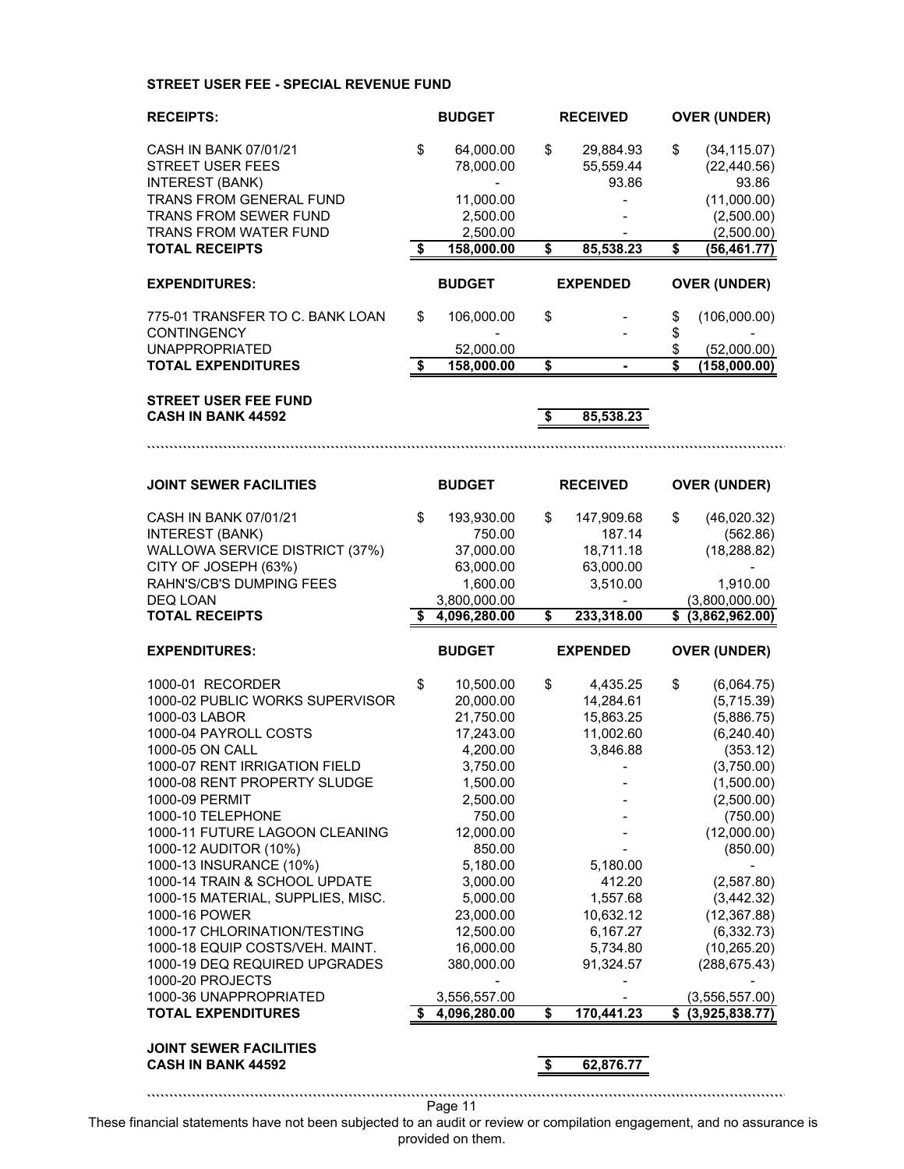### **STREET USER FEE - SPECIAL REVENUE FUND**

| <b>RECEIPTS:</b>                                           | <b>BUDGET</b><br><b>RECEIVED</b> |                              | <b>OVER (UNDER)</b>                  |                 |                                    |                                    |
|------------------------------------------------------------|----------------------------------|------------------------------|--------------------------------------|-----------------|------------------------------------|------------------------------------|
| CASH IN BANK 07/01/21                                      | \$                               | 64,000.00                    | \$                                   | 29,884.93       | \$                                 | (34, 115.07)                       |
| <b>STREET USER FEES</b>                                    |                                  | 78,000.00                    |                                      | 55,559.44       |                                    | (22, 440.56)                       |
| <b>INTEREST (BANK)</b>                                     |                                  |                              |                                      | 93.86           |                                    | 93.86                              |
| TRANS FROM GENERAL FUND                                    |                                  | 11,000.00                    |                                      |                 |                                    | (11,000.00)                        |
| TRANS FROM SEWER FUND                                      |                                  | 2,500.00                     |                                      |                 |                                    | (2,500.00)                         |
| TRANS FROM WATER FUND                                      |                                  | 2,500.00                     |                                      |                 |                                    | (2,500.00)                         |
| <b>TOTAL RECEIPTS</b>                                      | \$                               | 158,000.00                   | $\overline{\boldsymbol{\mathsf{s}}}$ | 85,538.23       | $\overline{\boldsymbol{\epsilon}}$ | (56, 461.77)                       |
| <b>EXPENDITURES:</b>                                       |                                  | <b>BUDGET</b>                |                                      | <b>EXPENDED</b> |                                    | <b>OVER (UNDER)</b>                |
|                                                            |                                  |                              |                                      |                 |                                    |                                    |
| 775-01 TRANSFER TO C. BANK LOAN                            | \$                               | 106,000.00                   | \$                                   |                 | \$                                 | (106,000.00)                       |
| <b>CONTINGENCY</b><br><b>UNAPPROPRIATED</b>                |                                  |                              |                                      |                 | \$<br>\$                           |                                    |
| <b>TOTAL EXPENDITURES</b>                                  | \$                               | 52,000.00<br>158,000.00      | \$                                   |                 | Ŝ                                  | (52,000.00)<br>(158,000.00)        |
|                                                            |                                  |                              |                                      |                 |                                    |                                    |
| <b>STREET USER FEE FUND</b>                                |                                  |                              |                                      |                 |                                    |                                    |
| <b>CASH IN BANK 44592</b>                                  |                                  |                              | \$                                   | 85,538.23       |                                    |                                    |
|                                                            |                                  |                              |                                      |                 |                                    |                                    |
|                                                            |                                  |                              |                                      |                 |                                    |                                    |
| <b>JOINT SEWER FACILITIES</b>                              |                                  | <b>BUDGET</b>                |                                      | <b>RECEIVED</b> |                                    | <b>OVER (UNDER)</b>                |
| CASH IN BANK 07/01/21                                      | \$                               | 193,930.00                   | \$                                   | 147,909.68      | \$                                 | (46,020.32)                        |
| <b>INTEREST (BANK)</b>                                     |                                  | 750.00                       |                                      | 187.14          |                                    | (562.86)                           |
| WALLOWA SERVICE DISTRICT (37%)                             |                                  | 37,000.00                    |                                      | 18,711.18       |                                    | (18, 288.82)                       |
| CITY OF JOSEPH (63%)                                       |                                  | 63,000.00                    |                                      | 63,000.00       |                                    |                                    |
| RAHN'S/CB'S DUMPING FEES                                   |                                  | 1,600.00                     |                                      | 3,510.00        |                                    | 1,910.00                           |
| DEQ LOAN                                                   |                                  | 3,800,000.00                 |                                      |                 |                                    | (3,800,000.00)                     |
|                                                            |                                  |                              |                                      |                 |                                    |                                    |
| <b>TOTAL RECEIPTS</b>                                      | \$                               | 4,096,280.00                 | \$                                   | 233,318.00      |                                    | \$ (3,862,962.00)                  |
| <b>EXPENDITURES:</b>                                       |                                  | <b>BUDGET</b>                |                                      | <b>EXPENDED</b> |                                    | <b>OVER (UNDER)</b>                |
| 1000-01 RECORDER                                           | \$                               | 10,500.00                    | \$                                   | 4,435.25        | \$                                 | (6,064.75)                         |
| 1000-02 PUBLIC WORKS SUPERVISOR                            |                                  | 20,000.00                    |                                      | 14,284.61       |                                    | (5,715.39)                         |
| 1000-03 LABOR                                              |                                  | 21,750.00                    |                                      | 15,863.25       |                                    | (5,886.75)                         |
| 1000-04 PAYROLL COSTS                                      |                                  | 17,243.00                    |                                      | 11,002.60       |                                    | (6, 240.40)                        |
| 1000-05 ON CALL                                            |                                  | 4,200.00                     |                                      | 3,846.88        |                                    | (353.12)                           |
| 1000-07 RENT IRRIGATION FIELD                              |                                  | 3,750.00                     |                                      |                 |                                    | (3,750.00)                         |
| 1000-08 RENT PROPERTY SLUDGE                               |                                  | 1,500.00                     |                                      |                 |                                    | (1,500.00)                         |
| 1000-09 PERMIT                                             |                                  | 2,500.00                     |                                      |                 |                                    | (2,500.00)                         |
| 1000-10 TELEPHONE                                          |                                  | 750.00                       |                                      |                 |                                    | (750.00)                           |
| 1000-11 FUTURE LAGOON CLEANING                             |                                  | 12,000.00                    |                                      |                 |                                    | (12,000.00)                        |
| 1000-12 AUDITOR (10%)                                      |                                  | 850.00                       |                                      |                 |                                    | (850.00)                           |
| 1000-13 INSURANCE (10%)                                    |                                  | 5,180.00                     |                                      | 5,180.00        |                                    |                                    |
| 1000-14 TRAIN & SCHOOL UPDATE                              |                                  | 3,000.00                     |                                      | 412.20          |                                    | (2,587.80)                         |
| 1000-15 MATERIAL, SUPPLIES, MISC.                          |                                  | 5,000.00                     |                                      | 1,557.68        |                                    | (3,442.32)                         |
| 1000-16 POWER                                              |                                  | 23,000.00                    |                                      | 10,632.12       |                                    | (12, 367.88)                       |
| 1000-17 CHLORINATION/TESTING                               |                                  | 12,500.00                    |                                      | 6,167.27        |                                    | (6, 332.73)                        |
| 1000-18 EQUIP COSTS/VEH. MAINT.                            |                                  | 16,000.00                    |                                      | 5,734.80        |                                    | (10, 265.20)                       |
| 1000-19 DEQ REQUIRED UPGRADES                              |                                  | 380,000.00                   |                                      | 91,324.57       |                                    | (288, 675.43)                      |
| 1000-20 PROJECTS                                           |                                  |                              |                                      |                 |                                    |                                    |
| 1000-36 UNAPPROPRIATED<br><b>TOTAL EXPENDITURES</b>        | \$                               | 3,556,557.00<br>4,096,280.00 | \$                                   | 170,441.23      | \$                                 | (3, 556, 557.00)<br>(3,925,838.77) |
|                                                            |                                  |                              |                                      |                 |                                    |                                    |
| <b>JOINT SEWER FACILITIES</b><br><b>CASH IN BANK 44592</b> |                                  |                              |                                      |                 |                                    |                                    |
|                                                            |                                  |                              | \$                                   | 62,876.77       |                                    |                                    |

These financial statements have not been subjected to an audit or review or compilation engagement, and no assurance is provided on them.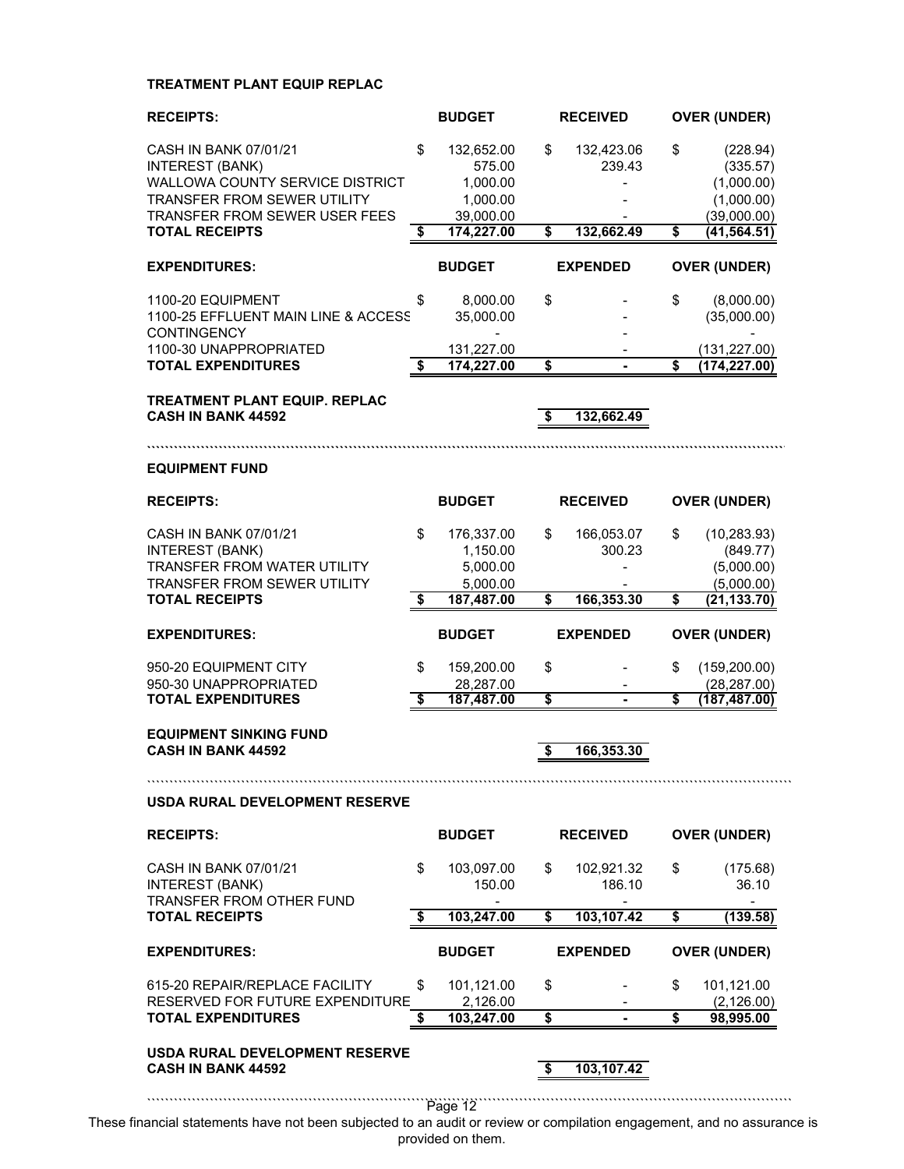## **TREATMENT PLANT EQUIP REPLAC**

| <b>RECEIPTS:</b>                                                                                                                                     | <b>BUDGET</b> |                                                | <b>RECEIVED</b>         |                      | <b>OVER (UNDER)</b> |                                                      |  |
|------------------------------------------------------------------------------------------------------------------------------------------------------|---------------|------------------------------------------------|-------------------------|----------------------|---------------------|------------------------------------------------------|--|
| CASH IN BANK 07/01/21<br><b>INTEREST (BANK)</b><br><b>WALLOWA COUNTY SERVICE DISTRICT</b><br>TRANSFER FROM SEWER UTILITY                             | \$            | 132,652.00<br>575.00<br>1,000.00<br>1,000.00   | \$                      | 132,423.06<br>239.43 | \$                  | (228.94)<br>(335.57)<br>(1,000.00)<br>(1,000.00)     |  |
| <b>TRANSFER FROM SEWER USER FEES</b><br><b>TOTAL RECEIPTS</b>                                                                                        | \$            | 39,000.00<br>174,227.00                        | $\overline{\mathbf{s}}$ | 132,662.49           | \$                  | (39,000.00)<br>(41, 564.51)                          |  |
| <b>EXPENDITURES:</b>                                                                                                                                 |               | <b>BUDGET</b>                                  |                         | <b>EXPENDED</b>      |                     | <b>OVER (UNDER)</b>                                  |  |
| 1100-20 EQUIPMENT<br>1100-25 EFFLUENT MAIN LINE & ACCESS<br>CONTINGENCY                                                                              | \$            | 8,000.00<br>35,000.00                          | \$                      |                      | \$                  | (8,000.00)<br>(35,000.00)                            |  |
| 1100-30 UNAPPROPRIATED<br><b>TOTAL EXPENDITURES</b>                                                                                                  | \$            | 131,227.00<br>174,227.00                       | \$                      |                      | \$                  | (131, 227.00)<br>(174, 227.00)                       |  |
| <b>TREATMENT PLANT EQUIP. REPLAC</b><br><b>CASH IN BANK 44592</b>                                                                                    |               |                                                | \$                      | 132,662.49           |                     |                                                      |  |
| <b>EQUIPMENT FUND</b>                                                                                                                                |               |                                                |                         |                      |                     |                                                      |  |
| <b>RECEIPTS:</b>                                                                                                                                     |               | <b>BUDGET</b>                                  |                         | <b>RECEIVED</b>      |                     | <b>OVER (UNDER)</b>                                  |  |
| <b>CASH IN BANK 07/01/21</b><br><b>INTEREST (BANK)</b><br>TRANSFER FROM WATER UTILITY<br><b>TRANSFER FROM SEWER UTILITY</b><br><b>TOTAL RECEIPTS</b> | \$            | 176,337.00<br>1,150.00<br>5,000.00<br>5,000.00 | \$<br>\$                | 166,053.07<br>300.23 | \$                  | (10, 283.93)<br>(849.77)<br>(5,000.00)<br>(5,000.00) |  |
|                                                                                                                                                      | \$            | 187,487.00                                     |                         | 166,353.30           | \$                  | (21, 133.70)                                         |  |
| <b>EXPENDITURES:</b>                                                                                                                                 |               | <b>BUDGET</b>                                  |                         | <b>EXPENDED</b>      |                     | <b>OVER (UNDER)</b>                                  |  |
|                                                                                                                                                      |               |                                                |                         |                      |                     | (159, 200.00)                                        |  |
| 950-20 EQUIPMENT CITY<br>950-30 UNAPPROPRIATED<br><b>TOTAL EXPENDITURES</b>                                                                          | \$<br>\$      | 159,200.00<br>28,287.00<br>187,487.00          | \$<br>\$                | $\blacksquare$       | \$<br>S             | (28, 287.00)<br>(187, 487.00)                        |  |
| <b>EQUIPMENT SINKING FUND</b><br><b>CASH IN BANK 44592</b>                                                                                           |               |                                                |                         | 166,353.30           |                     |                                                      |  |
| USDA RURAL DEVELOPMENT RESERVE                                                                                                                       |               |                                                |                         |                      |                     |                                                      |  |
| <b>RECEIPTS:</b>                                                                                                                                     |               | <b>BUDGET</b>                                  |                         | <b>RECEIVED</b>      |                     | <b>OVER (UNDER)</b>                                  |  |
| CASH IN BANK 07/01/21<br><b>INTEREST (BANK)</b><br>TRANSFFR FROM OTHER FUND                                                                          | \$            | 103,097.00<br>150.00                           | \$                      | 102,921.32<br>186.10 | \$                  | (175.68)<br>36.10                                    |  |
| <b>TOTAL RECEIPTS</b>                                                                                                                                | \$            | 103,247.00                                     | \$                      | 103,107.42           | \$                  | (139.58)                                             |  |
| <b>EXPENDITURES:</b>                                                                                                                                 |               | <b>BUDGET</b>                                  |                         | <b>EXPENDED</b>      |                     | <b>OVER (UNDER)</b>                                  |  |
| 615-20 REPAIR/REPLACE FACILITY<br>RESERVED FOR FUTURE EXPENDITURE                                                                                    | \$            | 101,121.00<br>2,126.00                         | \$                      |                      | \$                  | 101,121.00<br>(2, 126.00)                            |  |
| <b>TOTAL EXPENDITURES</b>                                                                                                                            | \$            | 103,247.00                                     | \$                      |                      | \$                  | 98,995.00                                            |  |
| USDA RURAL DEVELOPMENT RESERVE<br><b>CASH IN BANK 44592</b>                                                                                          |               |                                                | - \$                    | 103,107.42           |                     |                                                      |  |
|                                                                                                                                                      |               | Page 12                                        |                         |                      |                     |                                                      |  |

These financial statements have not been subjected to an audit or review or compilation engagement, and no assurance is provided on them.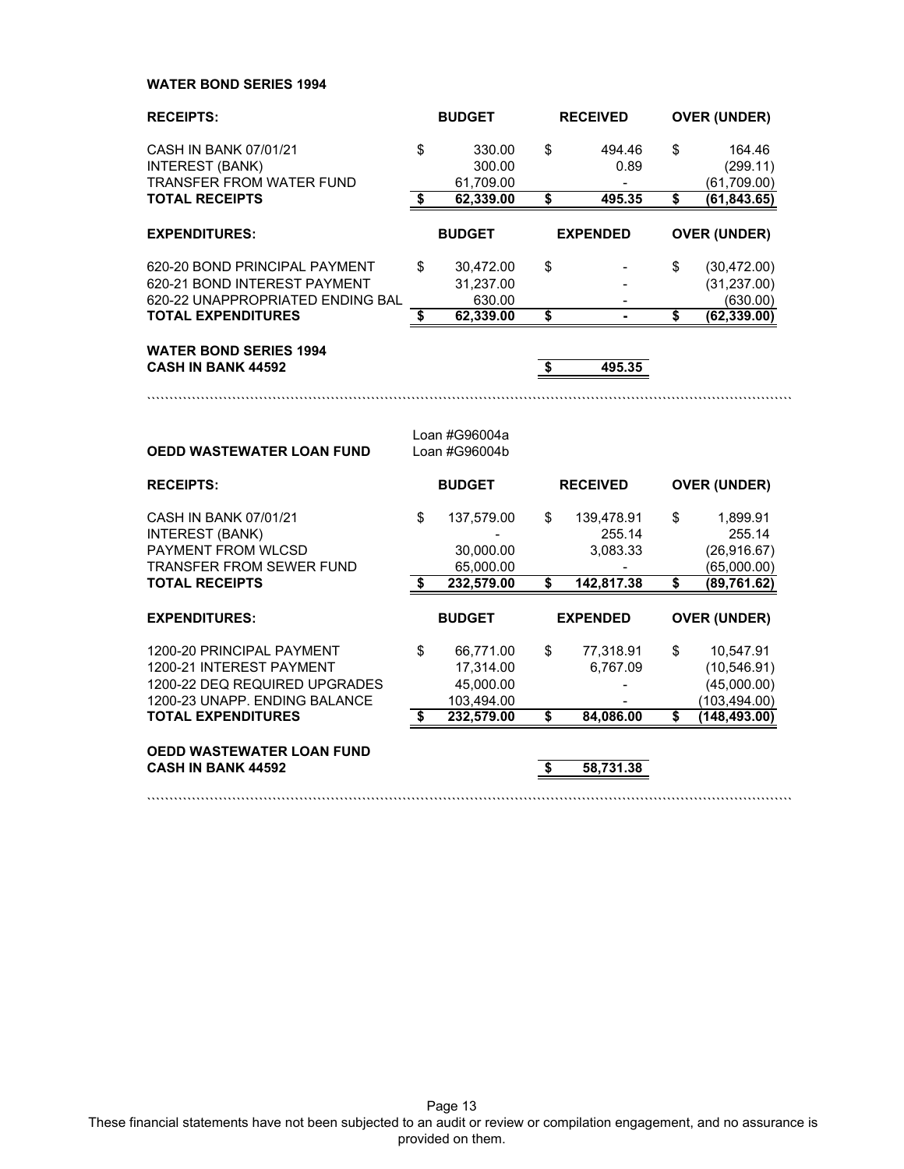**WATER BOND SERIES 1994**

| <b>RECEIPTS:</b>                                                                                                                                     | <b>BUDGET</b>                          |                                                                 |                               | <b>RECEIVED</b>                    |                                            | <b>OVER (UNDER)</b>                                                        |  |  |
|------------------------------------------------------------------------------------------------------------------------------------------------------|----------------------------------------|-----------------------------------------------------------------|-------------------------------|------------------------------------|--------------------------------------------|----------------------------------------------------------------------------|--|--|
| CASH IN BANK 07/01/21<br><b>INTEREST (BANK)</b><br><b>TRANSFER FROM WATER FUND</b>                                                                   | \$                                     | 330.00<br>300.00<br>61,709.00                                   | \$                            | 494.46<br>0.89                     | \$                                         | 164.46<br>(299.11)<br>(61, 709.00)                                         |  |  |
| <b>TOTAL RECEIPTS</b>                                                                                                                                | $\overline{\boldsymbol{\mathfrak{s}}}$ | 62,339.00                                                       | \$                            | 495.35                             | \$                                         | (61, 843.65)                                                               |  |  |
| <b>EXPENDITURES:</b>                                                                                                                                 |                                        | <b>BUDGET</b>                                                   |                               | <b>EXPENDED</b>                    |                                            | <b>OVER (UNDER)</b>                                                        |  |  |
| 620-20 BOND PRINCIPAL PAYMENT<br>620-21 BOND INTEREST PAYMENT<br>620-22 UNAPPROPRIATED ENDING BAL<br><b>TOTAL EXPENDITURES</b>                       | \$<br>\$                               | 30,472.00<br>31,237.00<br>630.00<br>62,339.00                   | \$<br>\$                      | $\blacksquare$                     | \$<br>$\overline{\boldsymbol{\mathsf{s}}}$ | (30, 472.00)<br>(31, 237.00)<br>(630.00)<br>(62, 339.00)                   |  |  |
| <b>WATER BOND SERIES 1994</b><br><b>CASH IN BANK 44592</b>                                                                                           |                                        |                                                                 | \$                            | 495.35                             |                                            |                                                                            |  |  |
| <b>OEDD WASTEWATER LOAN FUND</b>                                                                                                                     |                                        | Loan #G96004a<br>Loan #G96004b                                  |                               |                                    |                                            |                                                                            |  |  |
| <b>RECEIPTS:</b>                                                                                                                                     | <b>BUDGET</b>                          |                                                                 | <b>RECEIVED</b>               |                                    | <b>OVER (UNDER)</b>                        |                                                                            |  |  |
| CASH IN BANK 07/01/21<br><b>INTEREST (BANK)</b><br>PAYMENT FROM WLCSD<br><b>TRANSFER FROM SEWER FUND</b>                                             | \$                                     | 137,579.00<br>30,000.00<br>65,000.00                            | \$                            | 139,478.91<br>255.14<br>3,083.33   | \$                                         | 1,899.91<br>255.14<br>(26, 916.67)<br>(65,000.00)                          |  |  |
| <b>TOTAL RECEIPTS</b>                                                                                                                                | \$                                     | 232,579.00                                                      | $\overline{\mathbf{s}}$       | 142,817.38                         | $\overline{\mathbf{s}}$                    | (89, 761.62)                                                               |  |  |
| <b>EXPENDITURES:</b>                                                                                                                                 |                                        | <b>BUDGET</b>                                                   |                               | <b>EXPENDED</b>                    |                                            | <b>OVER (UNDER)</b>                                                        |  |  |
| 1200-20 PRINCIPAL PAYMENT<br>1200-21 INTEREST PAYMENT<br>1200-22 DEQ REQUIRED UPGRADES<br>1200-23 UNAPP. ENDING BALANCE<br><b>TOTAL EXPENDITURES</b> | \$<br>\$                               | 66,771.00<br>17,314.00<br>45,000.00<br>103,494.00<br>232,579.00 | \$<br>$\overline{\mathbf{s}}$ | 77,318.91<br>6,767.09<br>84,086.00 | \$<br>\$                                   | 10,547.91<br>(10, 546.91)<br>(45,000.00)<br>(103, 494.00)<br>(148, 493.00) |  |  |
| <b>OEDD WASTEWATER LOAN FUND</b><br><b>CASH IN BANK 44592</b>                                                                                        |                                        |                                                                 | \$                            | 58,731.38                          |                                            |                                                                            |  |  |

Page 13 These financial statements have not been subjected to an audit or review or compilation engagement, and no assurance is provided on them.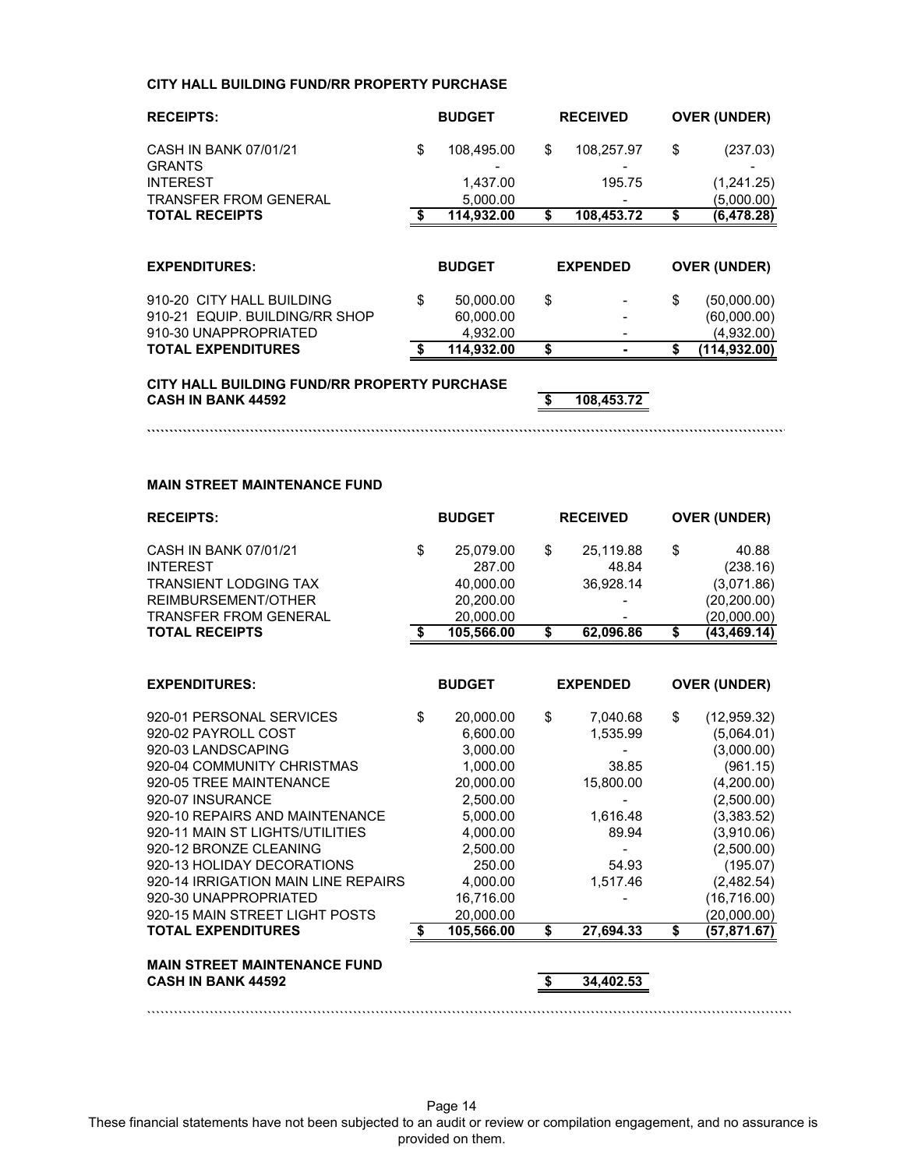### **CITY HALL BUILDING FUND/RR PROPERTY PURCHASE**

| <b>RECEIPTS:</b>                                            | <b>BUDGET</b>                | <b>RECEIVED</b>  |    | <b>OVER (UNDER)</b>        |
|-------------------------------------------------------------|------------------------------|------------------|----|----------------------------|
| CASH IN BANK 07/01/21<br><b>GRANTS</b>                      | \$<br>108,495.00             | \$<br>108,257.97 | \$ | (237.03)                   |
| <b>INTEREST</b>                                             | 1.437.00                     | 195.75           |    | (1,241.25)                 |
| <b>TRANSFER FROM GENERAL</b>                                | 5,000.00                     |                  |    | (5,000.00)                 |
| <b>TOTAL RECEIPTS</b>                                       | \$<br>114,932.00             | \$<br>108,453.72 | S  | (6,478.28)                 |
| <b>EXPENDITURES:</b>                                        | <b>BUDGET</b>                | <b>EXPENDED</b>  |    | <b>OVER (UNDER)</b>        |
| 910-20 CITY HALL BUILDING<br>910-21 EQUIP, BUILDING/RR SHOP | \$<br>50,000.00<br>60,000.00 | \$               | \$ | (50,000.00)<br>(60,000.00) |
| 910-30 UNAPPROPRIATED<br><b>TOTAL EXPENDITURES</b>          | \$<br>4,932.00<br>114.932.00 | \$               | \$ | (4,932.00)<br>(114.932.00) |

**```````````````````````````````````````````````````````````````````````````````````````````````````````````````````````````````````````````````**

**CITY HALL BUILDING FUND/RR PROPERTY PURCHASE CASH IN BANK 44592 \$ 108,453.72**

#### **MAIN STREET MAINTENANCE FUND**

| <b>RECEIPTS:</b>                    |    | <b>BUDGET</b> |    | <b>RECEIVED</b> |    | <b>OVER (UNDER)</b> |  |
|-------------------------------------|----|---------------|----|-----------------|----|---------------------|--|
| CASH IN BANK 07/01/21               | \$ | 25,079.00     | \$ | 25,119.88       | \$ | 40.88               |  |
| <b>INTEREST</b>                     |    | 287.00        |    | 48.84           |    | (238.16)            |  |
| <b>TRANSIENT LODGING TAX</b>        |    | 40,000.00     |    | 36,928.14       |    | (3,071.86)          |  |
| REIMBURSEMENT/OTHER                 |    | 20,200.00     |    |                 |    | (20, 200.00)        |  |
| <b>TRANSFER FROM GENERAL</b>        |    | 20,000.00     |    |                 |    | (20,000.00)         |  |
| <b>TOTAL RECEIPTS</b>               |    | 105,566.00    | \$ | 62,096.86       | \$ | (43,469.14)         |  |
|                                     |    |               |    |                 |    |                     |  |
| <b>EXPENDITURES:</b>                |    | <b>BUDGET</b> |    | <b>EXPENDED</b> |    | <b>OVER (UNDER)</b> |  |
| 920-01 PERSONAL SERVICES            | \$ | 20,000.00     | \$ | 7,040.68        | \$ | (12, 959.32)        |  |
| 920-02 PAYROLL COST                 |    | 6,600.00      |    | 1,535.99        |    | (5,064.01)          |  |
| 920-03 LANDSCAPING                  |    | 3,000.00      |    |                 |    | (3,000.00)          |  |
| 920-04 COMMUNITY CHRISTMAS          |    | 1,000.00      |    | 38.85           |    | (961.15)            |  |
| 920-05 TREE MAINTENANCE             |    | 20,000.00     |    | 15,800.00       |    | (4,200.00)          |  |
| 920-07 INSURANCE                    |    | 2,500.00      |    |                 |    | (2,500.00)          |  |
| 920-10 REPAIRS AND MAINTENANCE      |    | 5,000.00      |    | 1,616.48        |    | (3,383.52)          |  |
| 920-11 MAIN ST LIGHTS/UTILITIES     |    | 4,000.00      |    | 89.94           |    | (3,910.06)          |  |
| 920-12 BRONZE CLEANING              |    | 2,500.00      |    |                 |    | (2,500.00)          |  |
| 920-13 HOLIDAY DECORATIONS          |    | 250.00        |    | 54.93           |    | (195.07)            |  |
| 920-14 IRRIGATION MAIN LINE REPAIRS |    | 4,000.00      |    | 1,517.46        |    | (2,482.54)          |  |
| 920-30 UNAPPROPRIATED               |    | 16,716.00     |    |                 |    | (16, 716.00)        |  |
| 920-15 MAIN STREET LIGHT POSTS      |    | 20,000.00     |    |                 |    | (20,000.00)         |  |
| <b>TOTAL EXPENDITURES</b>           | S  | 105,566.00    | \$ | 27.694.33       | \$ | (57,871.67)         |  |
| <b>MAIN STREET MAINTENANCE FUND</b> |    |               |    |                 |    |                     |  |
| <b>CASH IN BANK 44592</b>           |    |               | S. | 34.402.53       |    |                     |  |
|                                     |    |               |    |                 |    |                     |  |

Page 14 These financial statements have not been subjected to an audit or review or compilation engagement, and no assurance is provided on them.